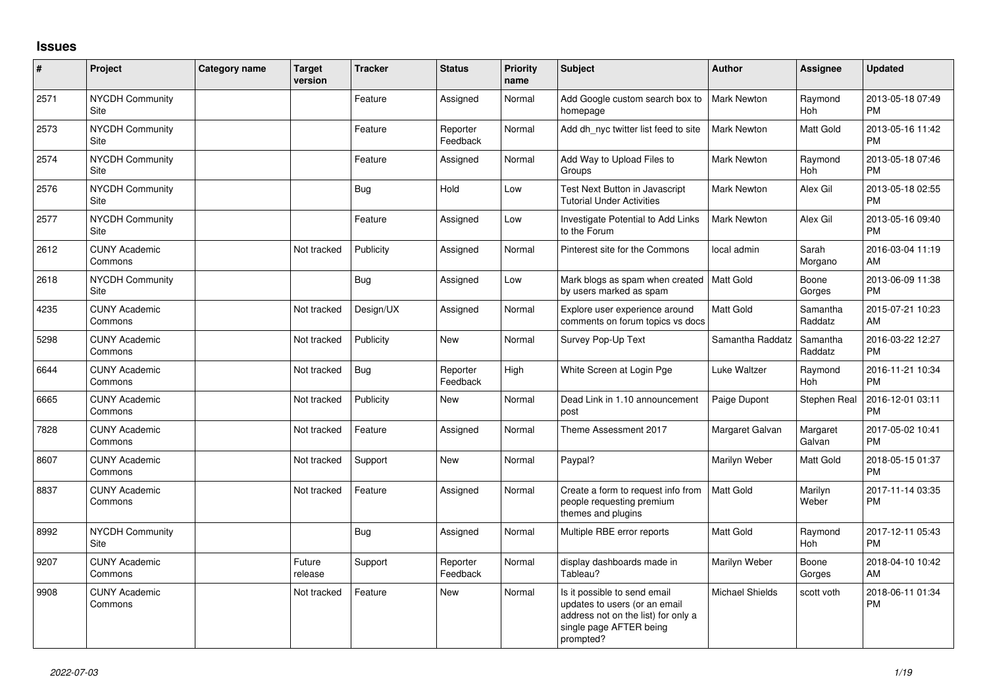## **Issues**

| #    | Project                         | Category name | <b>Target</b><br>version | <b>Tracker</b> | <b>Status</b>        | <b>Priority</b><br>name | <b>Subject</b>                                                                                                                               | <b>Author</b>          | Assignee            | <b>Updated</b>                |
|------|---------------------------------|---------------|--------------------------|----------------|----------------------|-------------------------|----------------------------------------------------------------------------------------------------------------------------------------------|------------------------|---------------------|-------------------------------|
| 2571 | <b>NYCDH Community</b><br>Site  |               |                          | Feature        | Assigned             | Normal                  | Add Google custom search box to<br>homepage                                                                                                  | <b>Mark Newton</b>     | Raymond<br>Hoh      | 2013-05-18 07:49<br><b>PM</b> |
| 2573 | <b>NYCDH Community</b><br>Site  |               |                          | Feature        | Reporter<br>Feedback | Normal                  | Add dh_nyc twitter list feed to site                                                                                                         | <b>Mark Newton</b>     | Matt Gold           | 2013-05-16 11:42<br><b>PM</b> |
| 2574 | <b>NYCDH Community</b><br>Site  |               |                          | Feature        | Assigned             | Normal                  | Add Way to Upload Files to<br>Groups                                                                                                         | Mark Newton            | Raymond<br>Hoh      | 2013-05-18 07:46<br><b>PM</b> |
| 2576 | NYCDH Community<br>Site         |               |                          | <b>Bug</b>     | Hold                 | Low                     | Test Next Button in Javascript<br><b>Tutorial Under Activities</b>                                                                           | Mark Newton            | Alex Gil            | 2013-05-18 02:55<br><b>PM</b> |
| 2577 | NYCDH Community<br>Site         |               |                          | Feature        | Assigned             | Low                     | Investigate Potential to Add Links<br>to the Forum                                                                                           | Mark Newton            | Alex Gil            | 2013-05-16 09:40<br><b>PM</b> |
| 2612 | <b>CUNY Academic</b><br>Commons |               | Not tracked              | Publicity      | Assigned             | Normal                  | Pinterest site for the Commons                                                                                                               | local admin            | Sarah<br>Morgano    | 2016-03-04 11:19<br>AM        |
| 2618 | NYCDH Community<br>Site         |               |                          | Bug            | Assigned             | Low                     | Mark blogs as spam when created<br>by users marked as spam                                                                                   | Matt Gold              | Boone<br>Gorges     | 2013-06-09 11:38<br><b>PM</b> |
| 4235 | <b>CUNY Academic</b><br>Commons |               | Not tracked              | Design/UX      | Assigned             | Normal                  | Explore user experience around<br>comments on forum topics vs docs                                                                           | <b>Matt Gold</b>       | Samantha<br>Raddatz | 2015-07-21 10:23<br>AM        |
| 5298 | <b>CUNY Academic</b><br>Commons |               | Not tracked              | Publicity      | <b>New</b>           | Normal                  | Survey Pop-Up Text                                                                                                                           | Samantha Raddatz       | Samantha<br>Raddatz | 2016-03-22 12:27<br><b>PM</b> |
| 6644 | <b>CUNY Academic</b><br>Commons |               | Not tracked              | <b>Bug</b>     | Reporter<br>Feedback | High                    | White Screen at Login Pge                                                                                                                    | Luke Waltzer           | Raymond<br>Hoh      | 2016-11-21 10:34<br><b>PM</b> |
| 6665 | <b>CUNY Academic</b><br>Commons |               | Not tracked              | Publicity      | <b>New</b>           | Normal                  | Dead Link in 1.10 announcement<br>post                                                                                                       | Paige Dupont           | Stephen Real        | 2016-12-01 03:11<br><b>PM</b> |
| 7828 | <b>CUNY Academic</b><br>Commons |               | Not tracked              | Feature        | Assigned             | Normal                  | Theme Assessment 2017                                                                                                                        | Margaret Galvan        | Margaret<br>Galvan  | 2017-05-02 10:41<br><b>PM</b> |
| 8607 | <b>CUNY Academic</b><br>Commons |               | Not tracked              | Support        | <b>New</b>           | Normal                  | Paypal?                                                                                                                                      | Marilyn Weber          | Matt Gold           | 2018-05-15 01:37<br><b>PM</b> |
| 8837 | <b>CUNY Academic</b><br>Commons |               | Not tracked              | Feature        | Assigned             | Normal                  | Create a form to request info from<br>people requesting premium<br>themes and plugins                                                        | <b>Matt Gold</b>       | Marilyn<br>Weber    | 2017-11-14 03:35<br><b>PM</b> |
| 8992 | <b>NYCDH Community</b><br>Site  |               |                          | Bug            | Assigned             | Normal                  | Multiple RBE error reports                                                                                                                   | Matt Gold              | Raymond<br>Hoh      | 2017-12-11 05:43<br><b>PM</b> |
| 9207 | <b>CUNY Academic</b><br>Commons |               | Future<br>release        | Support        | Reporter<br>Feedback | Normal                  | display dashboards made in<br>Tableau?                                                                                                       | Marilyn Weber          | Boone<br>Gorges     | 2018-04-10 10:42<br>AM        |
| 9908 | <b>CUNY Academic</b><br>Commons |               | Not tracked              | Feature        | <b>New</b>           | Normal                  | Is it possible to send email<br>updates to users (or an email<br>address not on the list) for only a<br>single page AFTER being<br>prompted? | <b>Michael Shields</b> | scott voth          | 2018-06-11 01:34<br>PM        |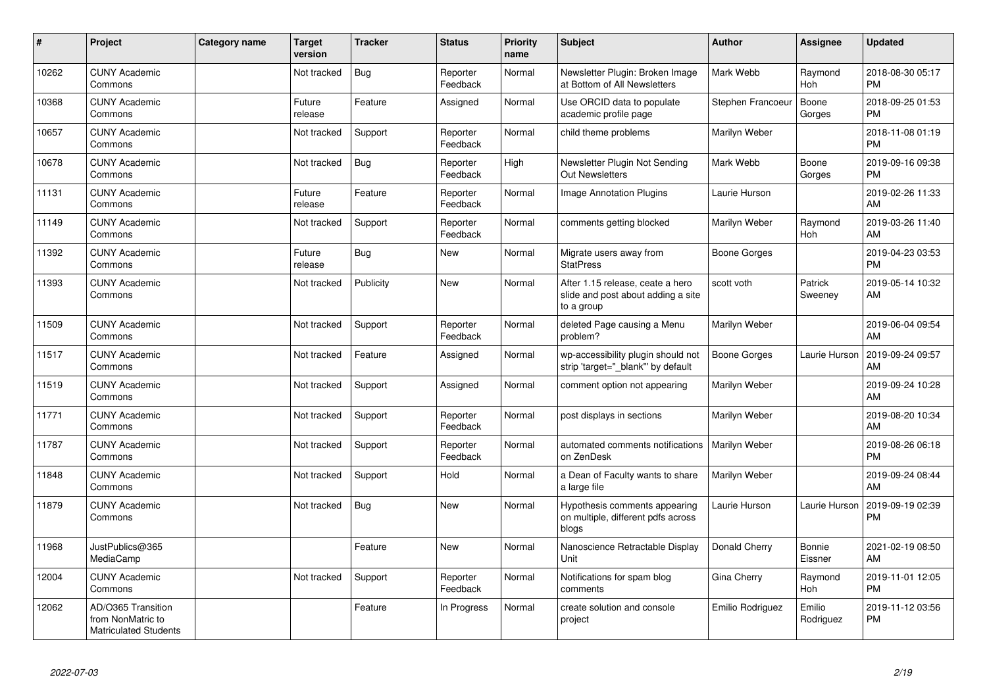| #     | Project                                                                 | Category name | <b>Target</b><br>version | <b>Tracker</b> | <b>Status</b>        | <b>Priority</b><br>name | <b>Subject</b>                                                                       | Author              | Assignee              | <b>Updated</b>                |
|-------|-------------------------------------------------------------------------|---------------|--------------------------|----------------|----------------------|-------------------------|--------------------------------------------------------------------------------------|---------------------|-----------------------|-------------------------------|
| 10262 | <b>CUNY Academic</b><br>Commons                                         |               | Not tracked              | Bug            | Reporter<br>Feedback | Normal                  | Newsletter Plugin: Broken Image<br>at Bottom of All Newsletters                      | Mark Webb           | Raymond<br>Hoh        | 2018-08-30 05:17<br><b>PM</b> |
| 10368 | <b>CUNY Academic</b><br>Commons                                         |               | Future<br>release        | Feature        | Assigned             | Normal                  | Use ORCID data to populate<br>academic profile page                                  | Stephen Francoeu    | Boone<br>Gorges       | 2018-09-25 01:53<br><b>PM</b> |
| 10657 | <b>CUNY Academic</b><br>Commons                                         |               | Not tracked              | Support        | Reporter<br>Feedback | Normal                  | child theme problems                                                                 | Marilyn Weber       |                       | 2018-11-08 01:19<br><b>PM</b> |
| 10678 | <b>CUNY Academic</b><br>Commons                                         |               | Not tracked              | Bug            | Reporter<br>Feedback | High                    | Newsletter Plugin Not Sending<br><b>Out Newsletters</b>                              | Mark Webb           | Boone<br>Gorges       | 2019-09-16 09:38<br><b>PM</b> |
| 11131 | <b>CUNY Academic</b><br>Commons                                         |               | Future<br>release        | Feature        | Reporter<br>Feedback | Normal                  | <b>Image Annotation Plugins</b>                                                      | Laurie Hurson       |                       | 2019-02-26 11:33<br>AM        |
| 11149 | <b>CUNY Academic</b><br>Commons                                         |               | Not tracked              | Support        | Reporter<br>Feedback | Normal                  | comments getting blocked                                                             | Marilyn Weber       | Raymond<br>Hoh        | 2019-03-26 11:40<br>AM        |
| 11392 | <b>CUNY Academic</b><br>Commons                                         |               | Future<br>release        | Bug            | New                  | Normal                  | Migrate users away from<br><b>StatPress</b>                                          | <b>Boone Gorges</b> |                       | 2019-04-23 03:53<br><b>PM</b> |
| 11393 | <b>CUNY Academic</b><br>Commons                                         |               | Not tracked              | Publicity      | <b>New</b>           | Normal                  | After 1.15 release, ceate a hero<br>slide and post about adding a site<br>to a group | scott voth          | Patrick<br>Sweeney    | 2019-05-14 10:32<br>AM        |
| 11509 | <b>CUNY Academic</b><br>Commons                                         |               | Not tracked              | Support        | Reporter<br>Feedback | Normal                  | deleted Page causing a Menu<br>problem?                                              | Marilyn Weber       |                       | 2019-06-04 09:54<br>AM        |
| 11517 | <b>CUNY Academic</b><br>Commons                                         |               | Not tracked              | Feature        | Assigned             | Normal                  | wp-accessibility plugin should not<br>strip 'target=" blank" by default              | Boone Gorges        | Laurie Hurson         | 2019-09-24 09:57<br>AM        |
| 11519 | <b>CUNY Academic</b><br>Commons                                         |               | Not tracked              | Support        | Assigned             | Normal                  | comment option not appearing                                                         | Marilyn Weber       |                       | 2019-09-24 10:28<br>AM        |
| 11771 | <b>CUNY Academic</b><br>Commons                                         |               | Not tracked              | Support        | Reporter<br>Feedback | Normal                  | post displays in sections                                                            | Marilyn Weber       |                       | 2019-08-20 10:34<br>AM        |
| 11787 | <b>CUNY Academic</b><br>Commons                                         |               | Not tracked              | Support        | Reporter<br>Feedback | Normal                  | automated comments notifications<br>on ZenDesk                                       | Marilyn Weber       |                       | 2019-08-26 06:18<br><b>PM</b> |
| 11848 | <b>CUNY Academic</b><br>Commons                                         |               | Not tracked              | Support        | Hold                 | Normal                  | a Dean of Faculty wants to share<br>a large file                                     | Marilyn Weber       |                       | 2019-09-24 08:44<br>AM        |
| 11879 | <b>CUNY Academic</b><br>Commons                                         |               | Not tracked              | Bug            | <b>New</b>           | Normal                  | Hypothesis comments appearing<br>on multiple, different pdfs across<br>blogs         | Laurie Hurson       | Laurie Hurson         | 2019-09-19 02:39<br><b>PM</b> |
| 11968 | JustPublics@365<br>MediaCamp                                            |               |                          | Feature        | <b>New</b>           | Normal                  | Nanoscience Retractable Display<br>Unit                                              | Donald Cherry       | Bonnie<br>Eissner     | 2021-02-19 08:50<br>AM        |
| 12004 | <b>CUNY Academic</b><br>Commons                                         |               | Not tracked              | Support        | Reporter<br>Feedback | Normal                  | Notifications for spam blog<br>comments                                              | Gina Cherry         | Raymond<br><b>Hoh</b> | 2019-11-01 12:05<br><b>PM</b> |
| 12062 | AD/O365 Transition<br>from NonMatric to<br><b>Matriculated Students</b> |               |                          | Feature        | In Progress          | Normal                  | create solution and console<br>project                                               | Emilio Rodriguez    | Emilio<br>Rodriguez   | 2019-11-12 03:56<br><b>PM</b> |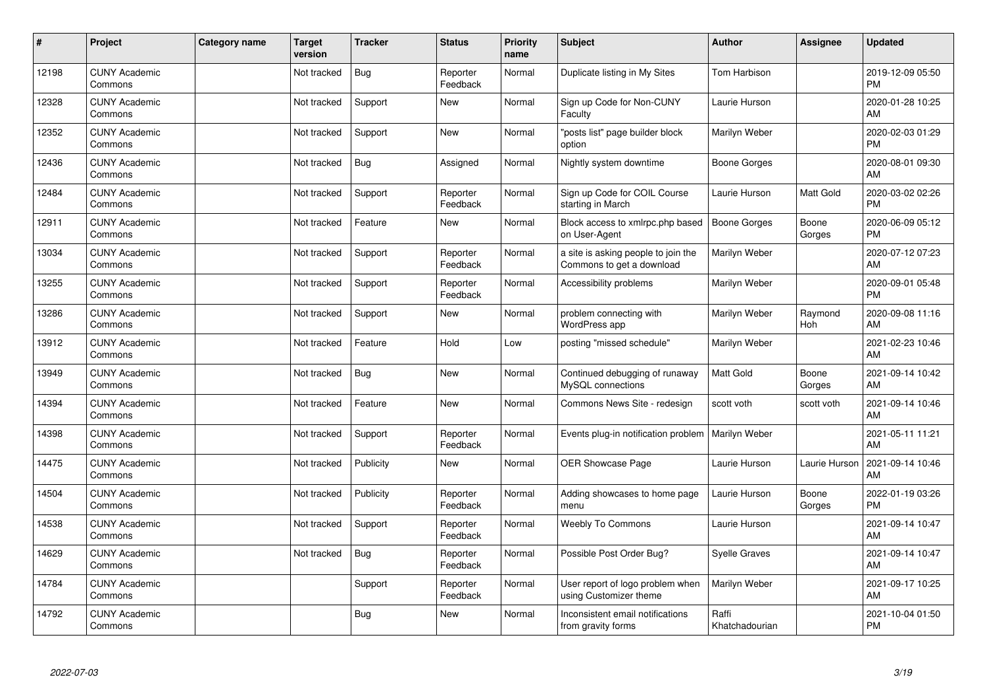| #     | Project                         | <b>Category name</b> | <b>Target</b><br>version | <b>Tracker</b> | <b>Status</b>        | <b>Priority</b><br>name | <b>Subject</b>                                                   | <b>Author</b>           | Assignee        | <b>Updated</b>                |
|-------|---------------------------------|----------------------|--------------------------|----------------|----------------------|-------------------------|------------------------------------------------------------------|-------------------------|-----------------|-------------------------------|
| 12198 | <b>CUNY Academic</b><br>Commons |                      | Not tracked              | Bug            | Reporter<br>Feedback | Normal                  | Duplicate listing in My Sites                                    | <b>Tom Harbison</b>     |                 | 2019-12-09 05:50<br><b>PM</b> |
| 12328 | <b>CUNY Academic</b><br>Commons |                      | Not tracked              | Support        | <b>New</b>           | Normal                  | Sign up Code for Non-CUNY<br>Faculty                             | Laurie Hurson           |                 | 2020-01-28 10:25<br>AM        |
| 12352 | <b>CUNY Academic</b><br>Commons |                      | Not tracked              | Support        | <b>New</b>           | Normal                  | "posts list" page builder block<br>option                        | Marilyn Weber           |                 | 2020-02-03 01:29<br><b>PM</b> |
| 12436 | <b>CUNY Academic</b><br>Commons |                      | Not tracked              | <b>Bug</b>     | Assigned             | Normal                  | Nightly system downtime                                          | Boone Gorges            |                 | 2020-08-01 09:30<br>AM        |
| 12484 | <b>CUNY Academic</b><br>Commons |                      | Not tracked              | Support        | Reporter<br>Feedback | Normal                  | Sign up Code for COIL Course<br>starting in March                | Laurie Hurson           | Matt Gold       | 2020-03-02 02:26<br><b>PM</b> |
| 12911 | <b>CUNY Academic</b><br>Commons |                      | Not tracked              | Feature        | <b>New</b>           | Normal                  | Block access to xmlrpc.php based<br>on User-Agent                | Boone Gorges            | Boone<br>Gorges | 2020-06-09 05:12<br><b>PM</b> |
| 13034 | <b>CUNY Academic</b><br>Commons |                      | Not tracked              | Support        | Reporter<br>Feedback | Normal                  | a site is asking people to join the<br>Commons to get a download | Marilyn Weber           |                 | 2020-07-12 07:23<br>AM        |
| 13255 | <b>CUNY Academic</b><br>Commons |                      | Not tracked              | Support        | Reporter<br>Feedback | Normal                  | Accessibility problems                                           | Marilyn Weber           |                 | 2020-09-01 05:48<br><b>PM</b> |
| 13286 | <b>CUNY Academic</b><br>Commons |                      | Not tracked              | Support        | <b>New</b>           | Normal                  | problem connecting with<br>WordPress app                         | Marilyn Weber           | Raymond<br>Hoh  | 2020-09-08 11:16<br>AM        |
| 13912 | <b>CUNY Academic</b><br>Commons |                      | Not tracked              | Feature        | Hold                 | Low                     | posting "missed schedule"                                        | Marilyn Weber           |                 | 2021-02-23 10:46<br>AM        |
| 13949 | <b>CUNY Academic</b><br>Commons |                      | Not tracked              | Bug            | <b>New</b>           | Normal                  | Continued debugging of runaway<br>MySQL connections              | <b>Matt Gold</b>        | Boone<br>Gorges | 2021-09-14 10:42<br>AM        |
| 14394 | <b>CUNY Academic</b><br>Commons |                      | Not tracked              | Feature        | <b>New</b>           | Normal                  | Commons News Site - redesign                                     | scott voth              | scott voth      | 2021-09-14 10:46<br>AM        |
| 14398 | <b>CUNY Academic</b><br>Commons |                      | Not tracked              | Support        | Reporter<br>Feedback | Normal                  | Events plug-in notification problem   Marilyn Weber              |                         |                 | 2021-05-11 11:21<br>AM        |
| 14475 | <b>CUNY Academic</b><br>Commons |                      | Not tracked              | Publicity      | <b>New</b>           | Normal                  | <b>OER Showcase Page</b>                                         | Laurie Hurson           | Laurie Hurson   | 2021-09-14 10:46<br>AM        |
| 14504 | <b>CUNY Academic</b><br>Commons |                      | Not tracked              | Publicity      | Reporter<br>Feedback | Normal                  | Adding showcases to home page<br>menu                            | Laurie Hurson           | Boone<br>Gorges | 2022-01-19 03:26<br><b>PM</b> |
| 14538 | <b>CUNY Academic</b><br>Commons |                      | Not tracked              | Support        | Reporter<br>Feedback | Normal                  | <b>Weebly To Commons</b>                                         | Laurie Hurson           |                 | 2021-09-14 10:47<br>AM        |
| 14629 | <b>CUNY Academic</b><br>Commons |                      | Not tracked              | Bug            | Reporter<br>Feedback | Normal                  | Possible Post Order Bug?                                         | <b>Syelle Graves</b>    |                 | 2021-09-14 10:47<br>AM        |
| 14784 | <b>CUNY Academic</b><br>Commons |                      |                          | Support        | Reporter<br>Feedback | Normal                  | User report of logo problem when<br>using Customizer theme       | Marilyn Weber           |                 | 2021-09-17 10:25<br>AM        |
| 14792 | <b>CUNY Academic</b><br>Commons |                      |                          | <b>Bug</b>     | <b>New</b>           | Normal                  | Inconsistent email notifications<br>from gravity forms           | Raffi<br>Khatchadourian |                 | 2021-10-04 01:50<br><b>PM</b> |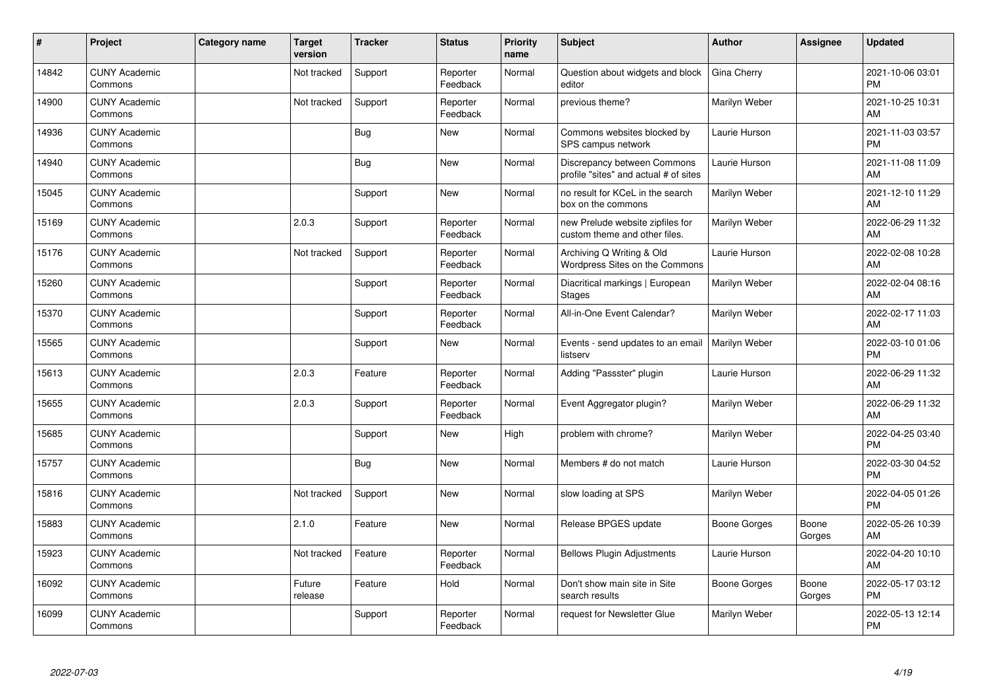| #     | Project                         | Category name | <b>Target</b><br>version | <b>Tracker</b> | <b>Status</b>        | <b>Priority</b><br>name | <b>Subject</b>                                                       | <b>Author</b>        | <b>Assignee</b> | <b>Updated</b>                |
|-------|---------------------------------|---------------|--------------------------|----------------|----------------------|-------------------------|----------------------------------------------------------------------|----------------------|-----------------|-------------------------------|
| 14842 | <b>CUNY Academic</b><br>Commons |               | Not tracked              | Support        | Reporter<br>Feedback | Normal                  | Question about widgets and block<br>editor                           | Gina Cherry          |                 | 2021-10-06 03:01<br><b>PM</b> |
| 14900 | <b>CUNY Academic</b><br>Commons |               | Not tracked              | Support        | Reporter<br>Feedback | Normal                  | previous theme?                                                      | Marilyn Weber        |                 | 2021-10-25 10:31<br>AM        |
| 14936 | <b>CUNY Academic</b><br>Commons |               |                          | <b>Bug</b>     | <b>New</b>           | Normal                  | Commons websites blocked by<br>SPS campus network                    | Laurie Hurson        |                 | 2021-11-03 03:57<br><b>PM</b> |
| 14940 | <b>CUNY Academic</b><br>Commons |               |                          | <b>Bug</b>     | <b>New</b>           | Normal                  | Discrepancy between Commons<br>profile "sites" and actual # of sites | Laurie Hurson        |                 | 2021-11-08 11:09<br>AM        |
| 15045 | <b>CUNY Academic</b><br>Commons |               |                          | Support        | <b>New</b>           | Normal                  | no result for KCeL in the search<br>box on the commons               | <b>Marilyn Weber</b> |                 | 2021-12-10 11:29<br><b>AM</b> |
| 15169 | <b>CUNY Academic</b><br>Commons |               | 2.0.3                    | Support        | Reporter<br>Feedback | Normal                  | new Prelude website zipfiles for<br>custom theme and other files.    | Marilyn Weber        |                 | 2022-06-29 11:32<br>AM        |
| 15176 | <b>CUNY Academic</b><br>Commons |               | Not tracked              | Support        | Reporter<br>Feedback | Normal                  | Archiving Q Writing & Old<br>Wordpress Sites on the Commons          | Laurie Hurson        |                 | 2022-02-08 10:28<br>AM        |
| 15260 | <b>CUNY Academic</b><br>Commons |               |                          | Support        | Reporter<br>Feedback | Normal                  | Diacritical markings   European<br><b>Stages</b>                     | Marilyn Weber        |                 | 2022-02-04 08:16<br>AM        |
| 15370 | <b>CUNY Academic</b><br>Commons |               |                          | Support        | Reporter<br>Feedback | Normal                  | All-in-One Event Calendar?                                           | Marilyn Weber        |                 | 2022-02-17 11:03<br>AM        |
| 15565 | <b>CUNY Academic</b><br>Commons |               |                          | Support        | <b>New</b>           | Normal                  | Events - send updates to an email<br>listserv                        | Marilyn Weber        |                 | 2022-03-10 01:06<br>PM        |
| 15613 | <b>CUNY Academic</b><br>Commons |               | 2.0.3                    | Feature        | Reporter<br>Feedback | Normal                  | Adding "Passster" plugin                                             | Laurie Hurson        |                 | 2022-06-29 11:32<br>AM        |
| 15655 | <b>CUNY Academic</b><br>Commons |               | 2.0.3                    | Support        | Reporter<br>Feedback | Normal                  | Event Aggregator plugin?                                             | Marilyn Weber        |                 | 2022-06-29 11:32<br>AM        |
| 15685 | <b>CUNY Academic</b><br>Commons |               |                          | Support        | <b>New</b>           | High                    | problem with chrome?                                                 | Marilyn Weber        |                 | 2022-04-25 03:40<br><b>PM</b> |
| 15757 | <b>CUNY Academic</b><br>Commons |               |                          | <b>Bug</b>     | <b>New</b>           | Normal                  | Members # do not match                                               | Laurie Hurson        |                 | 2022-03-30 04:52<br><b>PM</b> |
| 15816 | <b>CUNY Academic</b><br>Commons |               | Not tracked              | Support        | New                  | Normal                  | slow loading at SPS                                                  | Marilyn Weber        |                 | 2022-04-05 01:26<br><b>PM</b> |
| 15883 | <b>CUNY Academic</b><br>Commons |               | 2.1.0                    | Feature        | <b>New</b>           | Normal                  | Release BPGES update                                                 | Boone Gorges         | Boone<br>Gorges | 2022-05-26 10:39<br>AM        |
| 15923 | <b>CUNY Academic</b><br>Commons |               | Not tracked              | Feature        | Reporter<br>Feedback | Normal                  | <b>Bellows Plugin Adjustments</b>                                    | Laurie Hurson        |                 | 2022-04-20 10:10<br><b>AM</b> |
| 16092 | <b>CUNY Academic</b><br>Commons |               | Future<br>release        | Feature        | Hold                 | Normal                  | Don't show main site in Site<br>search results                       | Boone Gorges         | Boone<br>Gorges | 2022-05-17 03:12<br><b>PM</b> |
| 16099 | <b>CUNY Academic</b><br>Commons |               |                          | Support        | Reporter<br>Feedback | Normal                  | request for Newsletter Glue                                          | Marilyn Weber        |                 | 2022-05-13 12:14<br>PM        |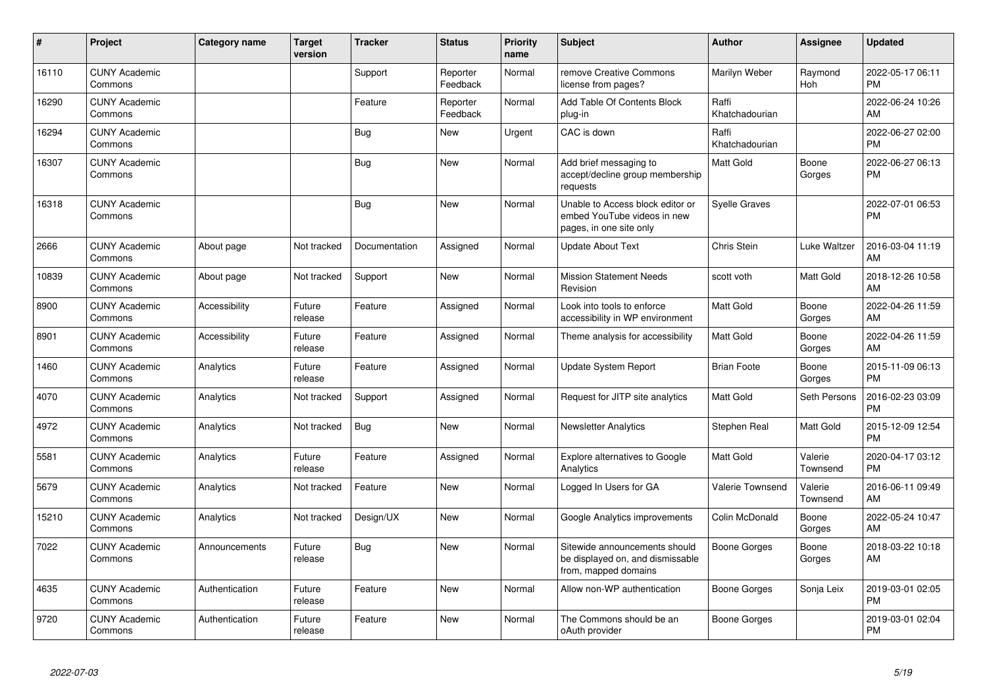| #     | Project                         | <b>Category name</b> | <b>Target</b><br>version | <b>Tracker</b> | <b>Status</b>        | <b>Priority</b><br>name | <b>Subject</b>                                                                             | <b>Author</b>           | Assignee            | <b>Updated</b>                |
|-------|---------------------------------|----------------------|--------------------------|----------------|----------------------|-------------------------|--------------------------------------------------------------------------------------------|-------------------------|---------------------|-------------------------------|
| 16110 | <b>CUNY Academic</b><br>Commons |                      |                          | Support        | Reporter<br>Feedback | Normal                  | remove Creative Commons<br>license from pages?                                             | Marilyn Weber           | Raymond<br>Hoh      | 2022-05-17 06:11<br><b>PM</b> |
| 16290 | <b>CUNY Academic</b><br>Commons |                      |                          | Feature        | Reporter<br>Feedback | Normal                  | Add Table Of Contents Block<br>plug-in                                                     | Raffi<br>Khatchadourian |                     | 2022-06-24 10:26<br>AM        |
| 16294 | <b>CUNY Academic</b><br>Commons |                      |                          | Bug            | New                  | Urgent                  | CAC is down                                                                                | Raffi<br>Khatchadourian |                     | 2022-06-27 02:00<br><b>PM</b> |
| 16307 | <b>CUNY Academic</b><br>Commons |                      |                          | Bug            | <b>New</b>           | Normal                  | Add brief messaging to<br>accept/decline group membership<br>requests                      | Matt Gold               | Boone<br>Gorges     | 2022-06-27 06:13<br><b>PM</b> |
| 16318 | <b>CUNY Academic</b><br>Commons |                      |                          | Bug            | <b>New</b>           | Normal                  | Unable to Access block editor or<br>embed YouTube videos in new<br>pages, in one site only | <b>Syelle Graves</b>    |                     | 2022-07-01 06:53<br><b>PM</b> |
| 2666  | <b>CUNY Academic</b><br>Commons | About page           | Not tracked              | Documentation  | Assigned             | Normal                  | <b>Update About Text</b>                                                                   | Chris Stein             | Luke Waltzer        | 2016-03-04 11:19<br>AM        |
| 10839 | <b>CUNY Academic</b><br>Commons | About page           | Not tracked              | Support        | <b>New</b>           | Normal                  | <b>Mission Statement Needs</b><br>Revision                                                 | scott voth              | Matt Gold           | 2018-12-26 10:58<br>AM        |
| 8900  | <b>CUNY Academic</b><br>Commons | Accessibility        | Future<br>release        | Feature        | Assigned             | Normal                  | Look into tools to enforce<br>accessibility in WP environment                              | <b>Matt Gold</b>        | Boone<br>Gorges     | 2022-04-26 11:59<br>AM        |
| 8901  | <b>CUNY Academic</b><br>Commons | Accessibility        | Future<br>release        | Feature        | Assigned             | Normal                  | Theme analysis for accessibility                                                           | Matt Gold               | Boone<br>Gorges     | 2022-04-26 11:59<br>AM        |
| 1460  | <b>CUNY Academic</b><br>Commons | Analytics            | Future<br>release        | Feature        | Assigned             | Normal                  | Update System Report                                                                       | <b>Brian Foote</b>      | Boone<br>Gorges     | 2015-11-09 06:13<br><b>PM</b> |
| 4070  | <b>CUNY Academic</b><br>Commons | Analytics            | Not tracked              | Support        | Assigned             | Normal                  | Request for JITP site analytics                                                            | Matt Gold               | Seth Persons        | 2016-02-23 03:09<br><b>PM</b> |
| 4972  | <b>CUNY Academic</b><br>Commons | Analytics            | Not tracked              | <b>Bug</b>     | <b>New</b>           | Normal                  | <b>Newsletter Analytics</b>                                                                | Stephen Real            | Matt Gold           | 2015-12-09 12:54<br><b>PM</b> |
| 5581  | <b>CUNY Academic</b><br>Commons | Analytics            | Future<br>release        | Feature        | Assigned             | Normal                  | Explore alternatives to Google<br>Analytics                                                | Matt Gold               | Valerie<br>Townsend | 2020-04-17 03:12<br>PM        |
| 5679  | <b>CUNY Academic</b><br>Commons | Analytics            | Not tracked              | Feature        | <b>New</b>           | Normal                  | Logged In Users for GA                                                                     | <b>Valerie Townsend</b> | Valerie<br>Townsend | 2016-06-11 09:49<br>AM        |
| 15210 | <b>CUNY Academic</b><br>Commons | Analytics            | Not tracked              | Design/UX      | <b>New</b>           | Normal                  | Google Analytics improvements                                                              | Colin McDonald          | Boone<br>Gorges     | 2022-05-24 10:47<br>AM        |
| 7022  | <b>CUNY Academic</b><br>Commons | Announcements        | Future<br>release        | Bug            | New                  | Normal                  | Sitewide announcements should<br>be displayed on, and dismissable<br>from, mapped domains  | <b>Boone Gorges</b>     | Boone<br>Gorges     | 2018-03-22 10:18<br>AM        |
| 4635  | <b>CUNY Academic</b><br>Commons | Authentication       | Future<br>release        | Feature        | <b>New</b>           | Normal                  | Allow non-WP authentication                                                                | Boone Gorges            | Sonja Leix          | 2019-03-01 02:05<br><b>PM</b> |
| 9720  | <b>CUNY Academic</b><br>Commons | Authentication       | Future<br>release        | Feature        | New                  | Normal                  | The Commons should be an<br>oAuth provider                                                 | Boone Gorges            |                     | 2019-03-01 02:04<br><b>PM</b> |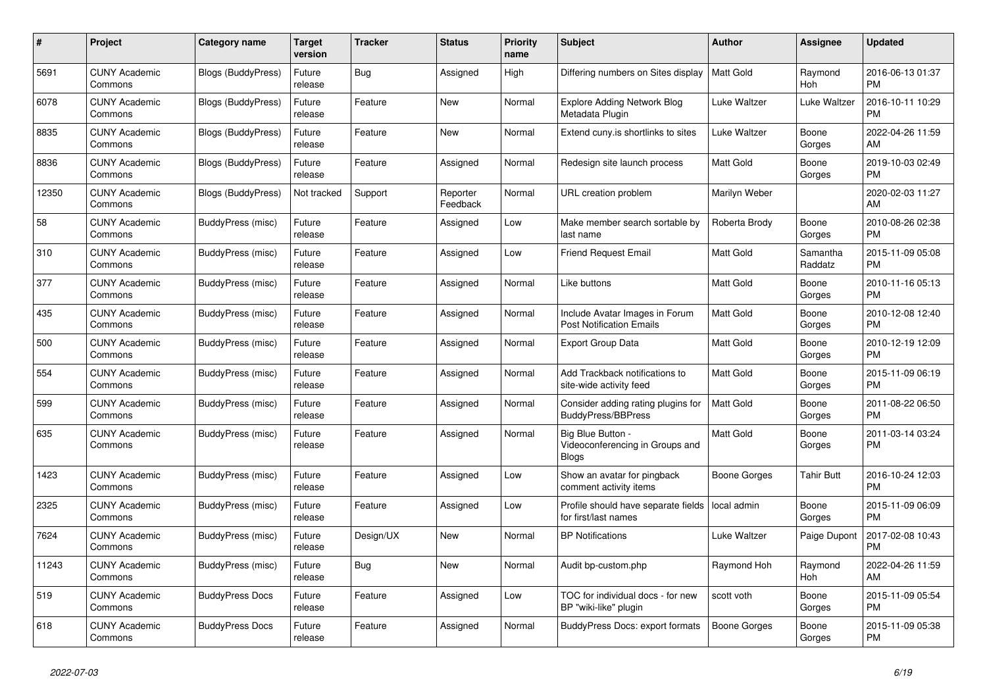| #     | Project                         | <b>Category name</b>      | <b>Target</b><br>version | <b>Tracker</b> | <b>Status</b>        | <b>Priority</b><br>name | <b>Subject</b>                                                       | <b>Author</b>       | Assignee            | <b>Updated</b>                |
|-------|---------------------------------|---------------------------|--------------------------|----------------|----------------------|-------------------------|----------------------------------------------------------------------|---------------------|---------------------|-------------------------------|
| 5691  | <b>CUNY Academic</b><br>Commons | Blogs (BuddyPress)        | Future<br>release        | <b>Bug</b>     | Assigned             | High                    | Differing numbers on Sites display                                   | <b>Matt Gold</b>    | Raymond<br>Hoh      | 2016-06-13 01:37<br><b>PM</b> |
| 6078  | <b>CUNY Academic</b><br>Commons | <b>Blogs (BuddyPress)</b> | Future<br>release        | Feature        | <b>New</b>           | Normal                  | <b>Explore Adding Network Blog</b><br>Metadata Plugin                | Luke Waltzer        | Luke Waltzer        | 2016-10-11 10:29<br><b>PM</b> |
| 8835  | <b>CUNY Academic</b><br>Commons | Blogs (BuddyPress)        | Future<br>release        | Feature        | New                  | Normal                  | Extend cuny is shortlinks to sites                                   | Luke Waltzer        | Boone<br>Gorges     | 2022-04-26 11:59<br>AM        |
| 8836  | <b>CUNY Academic</b><br>Commons | <b>Blogs (BuddyPress)</b> | Future<br>release        | Feature        | Assigned             | Normal                  | Redesign site launch process                                         | Matt Gold           | Boone<br>Gorges     | 2019-10-03 02:49<br><b>PM</b> |
| 12350 | <b>CUNY Academic</b><br>Commons | <b>Blogs (BuddyPress)</b> | Not tracked              | Support        | Reporter<br>Feedback | Normal                  | URL creation problem                                                 | Marilyn Weber       |                     | 2020-02-03 11:27<br>AM        |
| 58    | <b>CUNY Academic</b><br>Commons | BuddyPress (misc)         | Future<br>release        | Feature        | Assigned             | Low                     | Make member search sortable by<br>last name                          | Roberta Brody       | Boone<br>Gorges     | 2010-08-26 02:38<br><b>PM</b> |
| 310   | <b>CUNY Academic</b><br>Commons | BuddyPress (misc)         | Future<br>release        | Feature        | Assigned             | Low                     | <b>Friend Request Email</b>                                          | <b>Matt Gold</b>    | Samantha<br>Raddatz | 2015-11-09 05:08<br><b>PM</b> |
| 377   | <b>CUNY Academic</b><br>Commons | BuddyPress (misc)         | Future<br>release        | Feature        | Assigned             | Normal                  | Like buttons                                                         | <b>Matt Gold</b>    | Boone<br>Gorges     | 2010-11-16 05:13<br><b>PM</b> |
| 435   | <b>CUNY Academic</b><br>Commons | BuddyPress (misc)         | Future<br>release        | Feature        | Assigned             | Normal                  | Include Avatar Images in Forum<br><b>Post Notification Emails</b>    | Matt Gold           | Boone<br>Gorges     | 2010-12-08 12:40<br><b>PM</b> |
| 500   | <b>CUNY Academic</b><br>Commons | BuddyPress (misc)         | Future<br>release        | Feature        | Assigned             | Normal                  | <b>Export Group Data</b>                                             | <b>Matt Gold</b>    | Boone<br>Gorges     | 2010-12-19 12:09<br><b>PM</b> |
| 554   | <b>CUNY Academic</b><br>Commons | BuddyPress (misc)         | Future<br>release        | Feature        | Assigned             | Normal                  | Add Trackback notifications to<br>site-wide activity feed            | Matt Gold           | Boone<br>Gorges     | 2015-11-09 06:19<br><b>PM</b> |
| 599   | <b>CUNY Academic</b><br>Commons | <b>BuddyPress</b> (misc)  | Future<br>release        | Feature        | Assigned             | Normal                  | Consider adding rating plugins for<br><b>BuddyPress/BBPress</b>      | <b>Matt Gold</b>    | Boone<br>Gorges     | 2011-08-22 06:50<br><b>PM</b> |
| 635   | <b>CUNY Academic</b><br>Commons | BuddyPress (misc)         | Future<br>release        | Feature        | Assigned             | Normal                  | Big Blue Button -<br>Videoconferencing in Groups and<br><b>Blogs</b> | Matt Gold           | Boone<br>Gorges     | 2011-03-14 03:24<br><b>PM</b> |
| 1423  | <b>CUNY Academic</b><br>Commons | BuddyPress (misc)         | Future<br>release        | Feature        | Assigned             | Low                     | Show an avatar for pingback<br>comment activity items                | Boone Gorges        | <b>Tahir Butt</b>   | 2016-10-24 12:03<br><b>PM</b> |
| 2325  | <b>CUNY Academic</b><br>Commons | BuddyPress (misc)         | Future<br>release        | Feature        | Assigned             | Low                     | Profile should have separate fields<br>for first/last names          | local admin         | Boone<br>Gorges     | 2015-11-09 06:09<br><b>PM</b> |
| 7624  | <b>CUNY Academic</b><br>Commons | BuddyPress (misc)         | Future<br>release        | Design/UX      | <b>New</b>           | Normal                  | <b>BP Notifications</b>                                              | Luke Waltzer        | Paige Dupont        | 2017-02-08 10:43<br><b>PM</b> |
| 11243 | <b>CUNY Academic</b><br>Commons | <b>BuddyPress (misc)</b>  | Future<br>release        | Bug            | <b>New</b>           | Normal                  | Audit bp-custom.php                                                  | Raymond Hoh         | Raymond<br>Hoh      | 2022-04-26 11:59<br>AM        |
| 519   | <b>CUNY Academic</b><br>Commons | <b>BuddyPress Docs</b>    | Future<br>release        | Feature        | Assigned             | Low                     | TOC for individual docs - for new<br>BP "wiki-like" plugin           | scott voth          | Boone<br>Gorges     | 2015-11-09 05:54<br><b>PM</b> |
| 618   | <b>CUNY Academic</b><br>Commons | <b>BuddyPress Docs</b>    | Future<br>release        | Feature        | Assigned             | Normal                  | BuddyPress Docs: export formats                                      | <b>Boone Gorges</b> | Boone<br>Gorges     | 2015-11-09 05:38<br><b>PM</b> |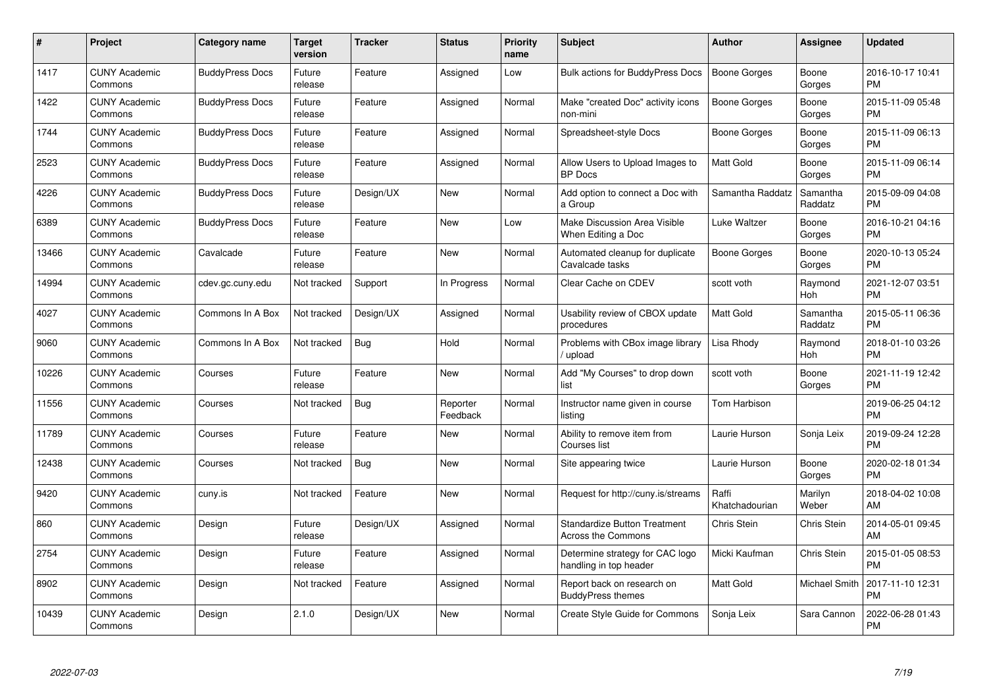| #     | Project                         | <b>Category name</b>   | Target<br>version | <b>Tracker</b> | <b>Status</b>        | Priority<br>name | <b>Subject</b>                                                   | <b>Author</b>           | <b>Assignee</b>     | <b>Updated</b>                |
|-------|---------------------------------|------------------------|-------------------|----------------|----------------------|------------------|------------------------------------------------------------------|-------------------------|---------------------|-------------------------------|
| 1417  | <b>CUNY Academic</b><br>Commons | <b>BuddyPress Docs</b> | Future<br>release | Feature        | Assigned             | Low              | <b>Bulk actions for BuddyPress Docs</b>                          | <b>Boone Gorges</b>     | Boone<br>Gorges     | 2016-10-17 10:41<br><b>PM</b> |
| 1422  | <b>CUNY Academic</b><br>Commons | <b>BuddyPress Docs</b> | Future<br>release | Feature        | Assigned             | Normal           | Make "created Doc" activity icons<br>non-mini                    | Boone Gorges            | Boone<br>Gorges     | 2015-11-09 05:48<br><b>PM</b> |
| 1744  | <b>CUNY Academic</b><br>Commons | <b>BuddyPress Docs</b> | Future<br>release | Feature        | Assigned             | Normal           | Spreadsheet-style Docs                                           | Boone Gorges            | Boone<br>Gorges     | 2015-11-09 06:13<br><b>PM</b> |
| 2523  | <b>CUNY Academic</b><br>Commons | <b>BuddyPress Docs</b> | Future<br>release | Feature        | Assigned             | Normal           | Allow Users to Upload Images to<br><b>BP</b> Docs                | Matt Gold               | Boone<br>Gorges     | 2015-11-09 06:14<br><b>PM</b> |
| 4226  | <b>CUNY Academic</b><br>Commons | <b>BuddyPress Docs</b> | Future<br>release | Design/UX      | <b>New</b>           | Normal           | Add option to connect a Doc with<br>a Group                      | Samantha Raddatz        | Samantha<br>Raddatz | 2015-09-09 04:08<br><b>PM</b> |
| 6389  | <b>CUNY Academic</b><br>Commons | <b>BuddyPress Docs</b> | Future<br>release | Feature        | <b>New</b>           | Low              | Make Discussion Area Visible<br>When Editing a Doc               | Luke Waltzer            | Boone<br>Gorges     | 2016-10-21 04:16<br><b>PM</b> |
| 13466 | <b>CUNY Academic</b><br>Commons | Cavalcade              | Future<br>release | Feature        | <b>New</b>           | Normal           | Automated cleanup for duplicate<br>Cavalcade tasks               | Boone Gorges            | Boone<br>Gorges     | 2020-10-13 05:24<br><b>PM</b> |
| 14994 | <b>CUNY Academic</b><br>Commons | cdev.gc.cuny.edu       | Not tracked       | Support        | In Progress          | Normal           | Clear Cache on CDEV                                              | scott voth              | Raymond<br>Hoh      | 2021-12-07 03:51<br><b>PM</b> |
| 4027  | <b>CUNY Academic</b><br>Commons | Commons In A Box       | Not tracked       | Design/UX      | Assigned             | Normal           | Usability review of CBOX update<br>procedures                    | Matt Gold               | Samantha<br>Raddatz | 2015-05-11 06:36<br><b>PM</b> |
| 9060  | <b>CUNY Academic</b><br>Commons | Commons In A Box       | Not tracked       | <b>Bug</b>     | Hold                 | Normal           | Problems with CBox image library<br>upload                       | Lisa Rhody              | Raymond<br>Hoh      | 2018-01-10 03:26<br><b>PM</b> |
| 10226 | <b>CUNY Academic</b><br>Commons | Courses                | Future<br>release | Feature        | <b>New</b>           | Normal           | Add "My Courses" to drop down<br>list                            | scott voth              | Boone<br>Gorges     | 2021-11-19 12:42<br><b>PM</b> |
| 11556 | <b>CUNY Academic</b><br>Commons | Courses                | Not tracked       | <b>Bug</b>     | Reporter<br>Feedback | Normal           | Instructor name given in course<br>listina                       | Tom Harbison            |                     | 2019-06-25 04:12<br><b>PM</b> |
| 11789 | <b>CUNY Academic</b><br>Commons | Courses                | Future<br>release | Feature        | New                  | Normal           | Ability to remove item from<br>Courses list                      | Laurie Hurson           | Sonja Leix          | 2019-09-24 12:28<br><b>PM</b> |
| 12438 | <b>CUNY Academic</b><br>Commons | Courses                | Not tracked       | Bug            | <b>New</b>           | Normal           | Site appearing twice                                             | Laurie Hurson           | Boone<br>Gorges     | 2020-02-18 01:34<br>PM        |
| 9420  | <b>CUNY Academic</b><br>Commons | cuny.is                | Not tracked       | Feature        | New                  | Normal           | Request for http://cuny.is/streams                               | Raffi<br>Khatchadourian | Marilyn<br>Weber    | 2018-04-02 10:08<br>AM        |
| 860   | <b>CUNY Academic</b><br>Commons | Design                 | Future<br>release | Design/UX      | Assigned             | Normal           | <b>Standardize Button Treatment</b><br><b>Across the Commons</b> | Chris Stein             | Chris Stein         | 2014-05-01 09:45<br>AM        |
| 2754  | <b>CUNY Academic</b><br>Commons | Design                 | Future<br>release | Feature        | Assigned             | Normal           | Determine strategy for CAC logo<br>handling in top header        | Micki Kaufman           | Chris Stein         | 2015-01-05 08:53<br><b>PM</b> |
| 8902  | <b>CUNY Academic</b><br>Commons | Design                 | Not tracked       | Feature        | Assigned             | Normal           | Report back on research on<br><b>BuddyPress themes</b>           | <b>Matt Gold</b>        | Michael Smith       | 2017-11-10 12:31<br><b>PM</b> |
| 10439 | <b>CUNY Academic</b><br>Commons | Design                 | 2.1.0             | Design/UX      | <b>New</b>           | Normal           | Create Style Guide for Commons                                   | Sonja Leix              | Sara Cannon         | 2022-06-28 01:43<br>PM        |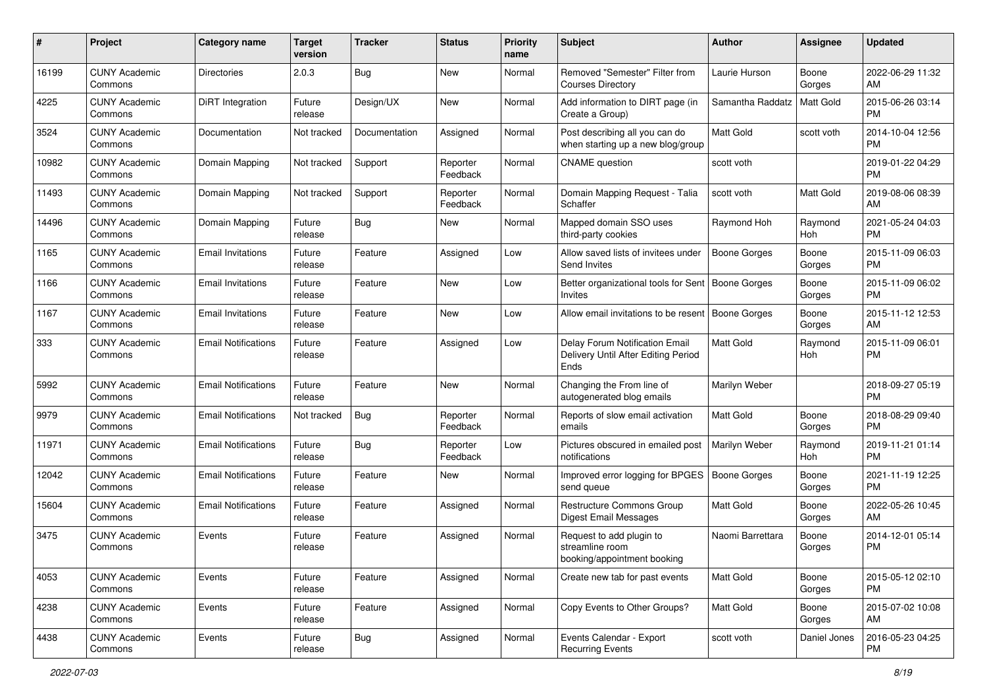| #     | Project                         | <b>Category name</b>       | <b>Target</b><br>version | <b>Tracker</b> | <b>Status</b>        | <b>Priority</b><br>name | Subject                                                                       | <b>Author</b>       | <b>Assignee</b> | <b>Updated</b>                |
|-------|---------------------------------|----------------------------|--------------------------|----------------|----------------------|-------------------------|-------------------------------------------------------------------------------|---------------------|-----------------|-------------------------------|
| 16199 | <b>CUNY Academic</b><br>Commons | Directories                | 2.0.3                    | Bug            | <b>New</b>           | Normal                  | Removed "Semester" Filter from<br><b>Courses Directory</b>                    | Laurie Hurson       | Boone<br>Gorges | 2022-06-29 11:32<br>AM        |
| 4225  | <b>CUNY Academic</b><br>Commons | DiRT Integration           | Future<br>release        | Design/UX      | New                  | Normal                  | Add information to DIRT page (in<br>Create a Group)                           | Samantha Raddatz    | Matt Gold       | 2015-06-26 03:14<br><b>PM</b> |
| 3524  | <b>CUNY Academic</b><br>Commons | Documentation              | Not tracked              | Documentation  | Assigned             | Normal                  | Post describing all you can do<br>when starting up a new blog/group           | Matt Gold           | scott voth      | 2014-10-04 12:56<br><b>PM</b> |
| 10982 | <b>CUNY Academic</b><br>Commons | Domain Mapping             | Not tracked              | Support        | Reporter<br>Feedback | Normal                  | <b>CNAME</b> question                                                         | scott voth          |                 | 2019-01-22 04:29<br><b>PM</b> |
| 11493 | <b>CUNY Academic</b><br>Commons | Domain Mapping             | Not tracked              | Support        | Reporter<br>Feedback | Normal                  | Domain Mapping Request - Talia<br>Schaffer                                    | scott voth          | Matt Gold       | 2019-08-06 08:39<br>AM        |
| 14496 | <b>CUNY Academic</b><br>Commons | Domain Mapping             | Future<br>release        | Bug            | New                  | Normal                  | Mapped domain SSO uses<br>third-party cookies                                 | Raymond Hoh         | Raymond<br>Hoh  | 2021-05-24 04:03<br><b>PM</b> |
| 1165  | <b>CUNY Academic</b><br>Commons | <b>Email Invitations</b>   | Future<br>release        | Feature        | Assigned             | Low                     | Allow saved lists of invitees under<br>Send Invites                           | <b>Boone Gorges</b> | Boone<br>Gorges | 2015-11-09 06:03<br>PM.       |
| 1166  | <b>CUNY Academic</b><br>Commons | <b>Email Invitations</b>   | Future<br>release        | Feature        | New                  | Low                     | Better organizational tools for Sent<br>Invites                               | Boone Gorges        | Boone<br>Gorges | 2015-11-09 06:02<br>PM.       |
| 1167  | <b>CUNY Academic</b><br>Commons | <b>Email Invitations</b>   | Future<br>release        | Feature        | New                  | Low                     | Allow email invitations to be resent                                          | Boone Gorges        | Boone<br>Gorges | 2015-11-12 12:53<br>AM.       |
| 333   | <b>CUNY Academic</b><br>Commons | <b>Email Notifications</b> | Future<br>release        | Feature        | Assigned             | Low                     | Delay Forum Notification Email<br>Delivery Until After Editing Period<br>Ends | <b>Matt Gold</b>    | Raymond<br>Hoh  | 2015-11-09 06:01<br><b>PM</b> |
| 5992  | <b>CUNY Academic</b><br>Commons | <b>Email Notifications</b> | Future<br>release        | Feature        | <b>New</b>           | Normal                  | Changing the From line of<br>autogenerated blog emails                        | Marilyn Weber       |                 | 2018-09-27 05:19<br><b>PM</b> |
| 9979  | <b>CUNY Academic</b><br>Commons | <b>Email Notifications</b> | Not tracked              | Bug            | Reporter<br>Feedback | Normal                  | Reports of slow email activation<br>emails                                    | <b>Matt Gold</b>    | Boone<br>Gorges | 2018-08-29 09:40<br><b>PM</b> |
| 11971 | <b>CUNY Academic</b><br>Commons | <b>Email Notifications</b> | Future<br>release        | Bug            | Reporter<br>Feedback | Low                     | Pictures obscured in emailed post<br>notifications                            | Marilyn Weber       | Raymond<br>Hoh  | 2019-11-21 01:14<br><b>PM</b> |
| 12042 | <b>CUNY Academic</b><br>Commons | <b>Email Notifications</b> | Future<br>release        | Feature        | New                  | Normal                  | Improved error logging for BPGES<br>send queue                                | Boone Gorges        | Boone<br>Gorges | 2021-11-19 12:25<br><b>PM</b> |
| 15604 | <b>CUNY Academic</b><br>Commons | <b>Email Notifications</b> | Future<br>release        | Feature        | Assigned             | Normal                  | Restructure Commons Group<br>Digest Email Messages                            | Matt Gold           | Boone<br>Gorges | 2022-05-26 10:45<br>AM.       |
| 3475  | <b>CUNY Academic</b><br>Commons | Events                     | Future<br>release        | Feature        | Assigned             | Normal                  | Request to add plugin to<br>streamline room<br>booking/appointment booking    | Naomi Barrettara    | Boone<br>Gorges | 2014-12-01 05:14<br><b>PM</b> |
| 4053  | <b>CUNY Academic</b><br>Commons | Events                     | Future<br>release        | Feature        | Assigned             | Normal                  | Create new tab for past events                                                | Matt Gold           | Boone<br>Gorges | 2015-05-12 02:10<br>PM        |
| 4238  | <b>CUNY Academic</b><br>Commons | Events                     | Future<br>release        | Feature        | Assigned             | Normal                  | Copy Events to Other Groups?                                                  | Matt Gold           | Boone<br>Gorges | 2015-07-02 10:08<br>AM        |
| 4438  | <b>CUNY Academic</b><br>Commons | Events                     | Future<br>release        | <b>Bug</b>     | Assigned             | Normal                  | Events Calendar - Export<br><b>Recurring Events</b>                           | scott voth          | Daniel Jones    | 2016-05-23 04:25<br><b>PM</b> |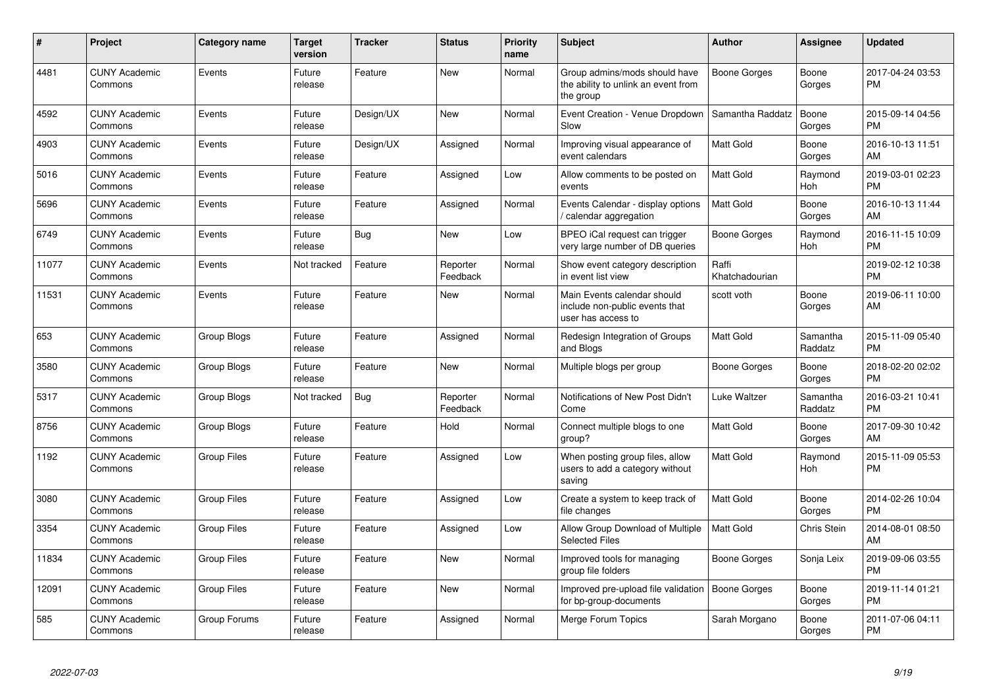| #     | Project                         | <b>Category name</b> | <b>Target</b><br>version | <b>Tracker</b> | <b>Status</b>        | <b>Priority</b><br>name | <b>Subject</b>                                                                      | <b>Author</b>           | <b>Assignee</b>     | <b>Updated</b>                |
|-------|---------------------------------|----------------------|--------------------------|----------------|----------------------|-------------------------|-------------------------------------------------------------------------------------|-------------------------|---------------------|-------------------------------|
| 4481  | <b>CUNY Academic</b><br>Commons | Events               | Future<br>release        | Feature        | <b>New</b>           | Normal                  | Group admins/mods should have<br>the ability to unlink an event from<br>the group   | Boone Gorges            | Boone<br>Gorges     | 2017-04-24 03:53<br><b>PM</b> |
| 4592  | <b>CUNY Academic</b><br>Commons | Events               | Future<br>release        | Design/UX      | New                  | Normal                  | Event Creation - Venue Dropdown<br>Slow                                             | Samantha Raddatz        | Boone<br>Gorges     | 2015-09-14 04:56<br><b>PM</b> |
| 4903  | <b>CUNY Academic</b><br>Commons | Events               | Future<br>release        | Design/UX      | Assigned             | Normal                  | Improving visual appearance of<br>event calendars                                   | <b>Matt Gold</b>        | Boone<br>Gorges     | 2016-10-13 11:51<br>AM        |
| 5016  | <b>CUNY Academic</b><br>Commons | Events               | Future<br>release        | Feature        | Assigned             | Low                     | Allow comments to be posted on<br>events                                            | <b>Matt Gold</b>        | Raymond<br>Hoh      | 2019-03-01 02:23<br><b>PM</b> |
| 5696  | <b>CUNY Academic</b><br>Commons | Events               | Future<br>release        | Feature        | Assigned             | Normal                  | Events Calendar - display options<br>/ calendar aggregation                         | <b>Matt Gold</b>        | Boone<br>Gorges     | 2016-10-13 11:44<br>AM        |
| 6749  | <b>CUNY Academic</b><br>Commons | Events               | Future<br>release        | Bug            | <b>New</b>           | Low                     | BPEO iCal request can trigger<br>very large number of DB queries                    | Boone Gorges            | Raymond<br>Hoh      | 2016-11-15 10:09<br><b>PM</b> |
| 11077 | <b>CUNY Academic</b><br>Commons | Events               | Not tracked              | Feature        | Reporter<br>Feedback | Normal                  | Show event category description<br>in event list view                               | Raffi<br>Khatchadourian |                     | 2019-02-12 10:38<br><b>PM</b> |
| 11531 | <b>CUNY Academic</b><br>Commons | Events               | Future<br>release        | Feature        | New                  | Normal                  | Main Events calendar should<br>include non-public events that<br>user has access to | scott voth              | Boone<br>Gorges     | 2019-06-11 10:00<br>AM        |
| 653   | <b>CUNY Academic</b><br>Commons | Group Blogs          | Future<br>release        | Feature        | Assigned             | Normal                  | Redesign Integration of Groups<br>and Blogs                                         | <b>Matt Gold</b>        | Samantha<br>Raddatz | 2015-11-09 05:40<br><b>PM</b> |
| 3580  | <b>CUNY Academic</b><br>Commons | Group Blogs          | Future<br>release        | Feature        | New                  | Normal                  | Multiple blogs per group                                                            | Boone Gorges            | Boone<br>Gorges     | 2018-02-20 02:02<br><b>PM</b> |
| 5317  | <b>CUNY Academic</b><br>Commons | Group Blogs          | Not tracked              | <b>Bug</b>     | Reporter<br>Feedback | Normal                  | Notifications of New Post Didn't<br>Come                                            | Luke Waltzer            | Samantha<br>Raddatz | 2016-03-21 10:41<br><b>PM</b> |
| 8756  | <b>CUNY Academic</b><br>Commons | <b>Group Blogs</b>   | Future<br>release        | Feature        | Hold                 | Normal                  | Connect multiple blogs to one<br>group?                                             | Matt Gold               | Boone<br>Gorges     | 2017-09-30 10:42<br>AM        |
| 1192  | <b>CUNY Academic</b><br>Commons | <b>Group Files</b>   | Future<br>release        | Feature        | Assigned             | Low                     | When posting group files, allow<br>users to add a category without<br>saving        | <b>Matt Gold</b>        | Raymond<br>Hoh      | 2015-11-09 05:53<br><b>PM</b> |
| 3080  | <b>CUNY Academic</b><br>Commons | <b>Group Files</b>   | Future<br>release        | Feature        | Assigned             | Low                     | Create a system to keep track of<br>file changes                                    | <b>Matt Gold</b>        | Boone<br>Gorges     | 2014-02-26 10:04<br><b>PM</b> |
| 3354  | <b>CUNY Academic</b><br>Commons | <b>Group Files</b>   | Future<br>release        | Feature        | Assigned             | Low                     | Allow Group Download of Multiple<br><b>Selected Files</b>                           | <b>Matt Gold</b>        | Chris Stein         | 2014-08-01 08:50<br>AM        |
| 11834 | <b>CUNY Academic</b><br>Commons | <b>Group Files</b>   | Future<br>release        | Feature        | <b>New</b>           | Normal                  | Improved tools for managing<br>group file folders                                   | Boone Gorges            | Sonja Leix          | 2019-09-06 03:55<br><b>PM</b> |
| 12091 | <b>CUNY Academic</b><br>Commons | <b>Group Files</b>   | Future<br>release        | Feature        | <b>New</b>           | Normal                  | Improved pre-upload file validation<br>for bp-group-documents                       | Boone Gorges            | Boone<br>Gorges     | 2019-11-14 01:21<br><b>PM</b> |
| 585   | <b>CUNY Academic</b><br>Commons | Group Forums         | Future<br>release        | Feature        | Assigned             | Normal                  | <b>Merge Forum Topics</b>                                                           | Sarah Morgano           | Boone<br>Gorges     | 2011-07-06 04:11<br><b>PM</b> |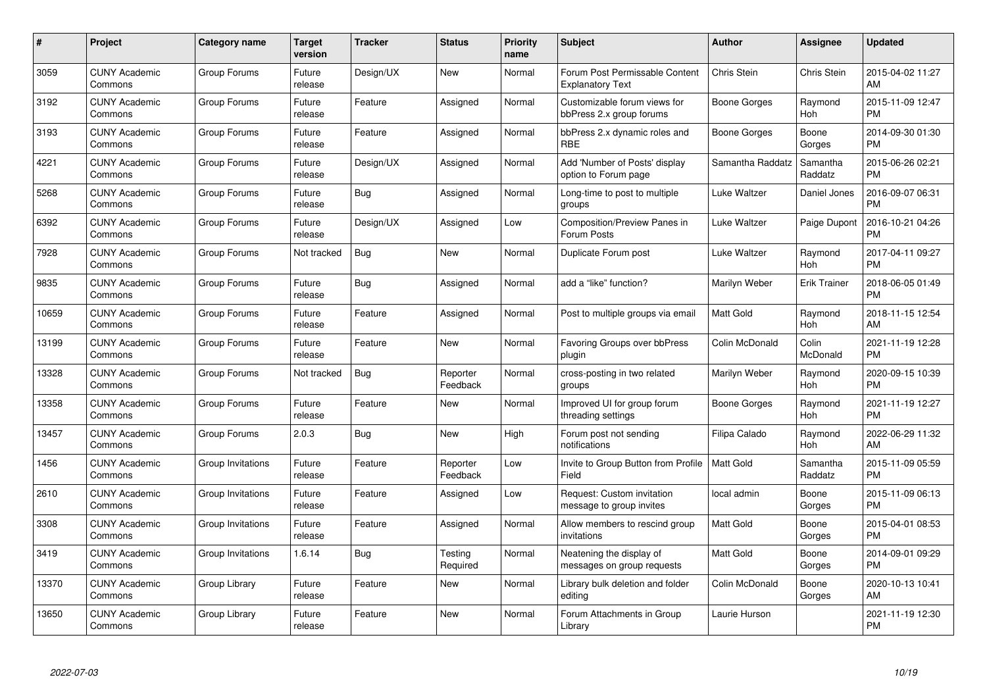| $\#$  | Project                         | <b>Category name</b> | Target<br>version | <b>Tracker</b> | <b>Status</b>        | Priority<br>name | <b>Subject</b>                                            | <b>Author</b>    | <b>Assignee</b>     | <b>Updated</b>                |
|-------|---------------------------------|----------------------|-------------------|----------------|----------------------|------------------|-----------------------------------------------------------|------------------|---------------------|-------------------------------|
| 3059  | <b>CUNY Academic</b><br>Commons | Group Forums         | Future<br>release | Design/UX      | <b>New</b>           | Normal           | Forum Post Permissable Content<br><b>Explanatory Text</b> | Chris Stein      | Chris Stein         | 2015-04-02 11:27<br>AM        |
| 3192  | <b>CUNY Academic</b><br>Commons | Group Forums         | Future<br>release | Feature        | Assigned             | Normal           | Customizable forum views for<br>bbPress 2.x group forums  | Boone Gorges     | Raymond<br>Hoh      | 2015-11-09 12:47<br><b>PM</b> |
| 3193  | <b>CUNY Academic</b><br>Commons | Group Forums         | Future<br>release | Feature        | Assigned             | Normal           | bbPress 2.x dynamic roles and<br><b>RBE</b>               | Boone Gorges     | Boone<br>Gorges     | 2014-09-30 01:30<br><b>PM</b> |
| 4221  | <b>CUNY Academic</b><br>Commons | Group Forums         | Future<br>release | Design/UX      | Assigned             | Normal           | Add 'Number of Posts' display<br>option to Forum page     | Samantha Raddatz | Samantha<br>Raddatz | 2015-06-26 02:21<br><b>PM</b> |
| 5268  | <b>CUNY Academic</b><br>Commons | Group Forums         | Future<br>release | <b>Bug</b>     | Assigned             | Normal           | Long-time to post to multiple<br>groups                   | Luke Waltzer     | Daniel Jones        | 2016-09-07 06:31<br><b>PM</b> |
| 6392  | <b>CUNY Academic</b><br>Commons | Group Forums         | Future<br>release | Design/UX      | Assigned             | Low              | Composition/Preview Panes in<br>Forum Posts               | Luke Waltzer     | Paige Dupont        | 2016-10-21 04:26<br><b>PM</b> |
| 7928  | <b>CUNY Academic</b><br>Commons | Group Forums         | Not tracked       | Bug            | <b>New</b>           | Normal           | Duplicate Forum post                                      | Luke Waltzer     | Raymond<br>Hoh      | 2017-04-11 09:27<br><b>PM</b> |
| 9835  | <b>CUNY Academic</b><br>Commons | Group Forums         | Future<br>release | Bug            | Assigned             | Normal           | add a "like" function?                                    | Marilyn Weber    | <b>Erik Trainer</b> | 2018-06-05 01:49<br><b>PM</b> |
| 10659 | <b>CUNY Academic</b><br>Commons | Group Forums         | Future<br>release | Feature        | Assigned             | Normal           | Post to multiple groups via email                         | <b>Matt Gold</b> | Raymond<br>Hoh      | 2018-11-15 12:54<br>AM        |
| 13199 | <b>CUNY Academic</b><br>Commons | Group Forums         | Future<br>release | Feature        | <b>New</b>           | Normal           | Favoring Groups over bbPress<br>plugin                    | Colin McDonald   | Colin<br>McDonald   | 2021-11-19 12:28<br><b>PM</b> |
| 13328 | <b>CUNY Academic</b><br>Commons | Group Forums         | Not tracked       | Bug            | Reporter<br>Feedback | Normal           | cross-posting in two related<br>groups                    | Marilyn Weber    | Raymond<br>Hoh      | 2020-09-15 10:39<br><b>PM</b> |
| 13358 | <b>CUNY Academic</b><br>Commons | Group Forums         | Future<br>release | Feature        | New                  | Normal           | Improved UI for group forum<br>threading settings         | Boone Gorges     | Raymond<br>Hoh      | 2021-11-19 12:27<br><b>PM</b> |
| 13457 | <b>CUNY Academic</b><br>Commons | Group Forums         | 2.0.3             | Bug            | New                  | High             | Forum post not sending<br>notifications                   | Filipa Calado    | Raymond<br>Hoh      | 2022-06-29 11:32<br>AM        |
| 1456  | <b>CUNY Academic</b><br>Commons | Group Invitations    | Future<br>release | Feature        | Reporter<br>Feedback | Low              | Invite to Group Button from Profile<br>Field              | <b>Matt Gold</b> | Samantha<br>Raddatz | 2015-11-09 05:59<br><b>PM</b> |
| 2610  | <b>CUNY Academic</b><br>Commons | Group Invitations    | Future<br>release | Feature        | Assigned             | Low              | Request: Custom invitation<br>message to group invites    | local admin      | Boone<br>Gorges     | 2015-11-09 06:13<br><b>PM</b> |
| 3308  | <b>CUNY Academic</b><br>Commons | Group Invitations    | Future<br>release | Feature        | Assigned             | Normal           | Allow members to rescind group<br>invitations             | Matt Gold        | Boone<br>Gorges     | 2015-04-01 08:53<br><b>PM</b> |
| 3419  | <b>CUNY Academic</b><br>Commons | Group Invitations    | 1.6.14            | Bug            | Testing<br>Required  | Normal           | Neatening the display of<br>messages on group requests    | Matt Gold        | Boone<br>Gorges     | 2014-09-01 09:29<br><b>PM</b> |
| 13370 | <b>CUNY Academic</b><br>Commons | Group Library        | Future<br>release | Feature        | New                  | Normal           | Library bulk deletion and folder<br>editing               | Colin McDonald   | Boone<br>Gorges     | 2020-10-13 10:41<br>AM        |
| 13650 | CUNY Academic<br>Commons        | Group Library        | Future<br>release | Feature        | <b>New</b>           | Normal           | Forum Attachments in Group<br>Library                     | Laurie Hurson    |                     | 2021-11-19 12:30<br><b>PM</b> |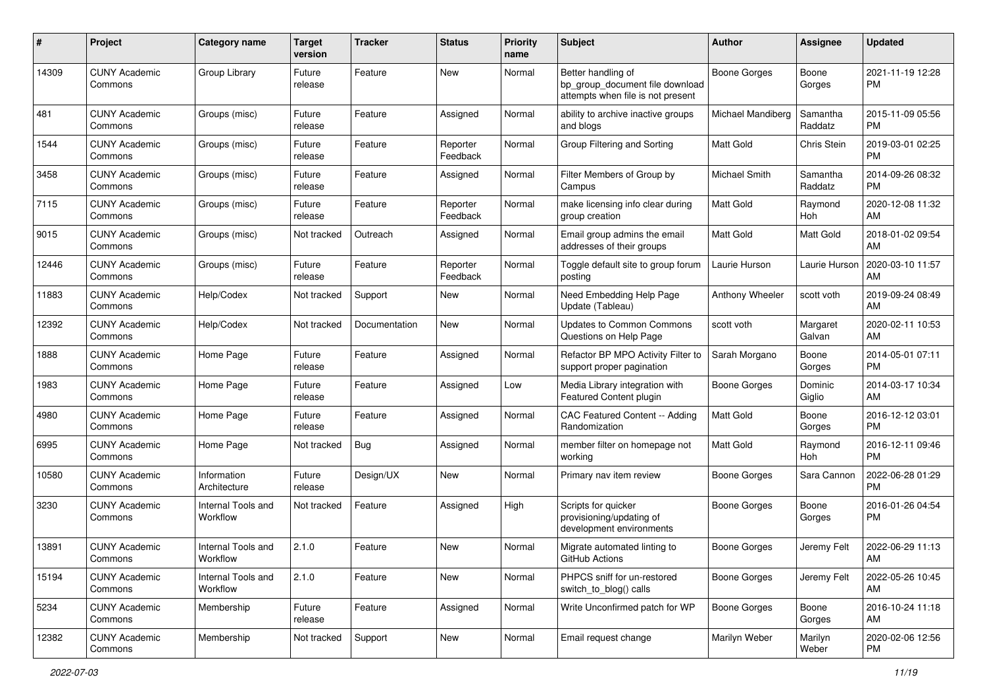| #     | Project                         | <b>Category name</b>           | <b>Target</b><br>version | <b>Tracker</b> | <b>Status</b>        | <b>Priority</b><br>name | <b>Subject</b>                                                                             | <b>Author</b>       | <b>Assignee</b>     | <b>Updated</b>                |
|-------|---------------------------------|--------------------------------|--------------------------|----------------|----------------------|-------------------------|--------------------------------------------------------------------------------------------|---------------------|---------------------|-------------------------------|
| 14309 | <b>CUNY Academic</b><br>Commons | Group Library                  | Future<br>release        | Feature        | New                  | Normal                  | Better handling of<br>bp_group_document file download<br>attempts when file is not present | <b>Boone Gorges</b> | Boone<br>Gorges     | 2021-11-19 12:28<br>PM.       |
| 481   | <b>CUNY Academic</b><br>Commons | Groups (misc)                  | Future<br>release        | Feature        | Assigned             | Normal                  | ability to archive inactive groups<br>and blogs                                            | Michael Mandiberg   | Samantha<br>Raddatz | 2015-11-09 05:56<br>PM.       |
| 1544  | <b>CUNY Academic</b><br>Commons | Groups (misc)                  | Future<br>release        | Feature        | Reporter<br>Feedback | Normal                  | Group Filtering and Sorting                                                                | <b>Matt Gold</b>    | Chris Stein         | 2019-03-01 02:25<br><b>PM</b> |
| 3458  | <b>CUNY Academic</b><br>Commons | Groups (misc)                  | Future<br>release        | Feature        | Assigned             | Normal                  | Filter Members of Group by<br>Campus                                                       | Michael Smith       | Samantha<br>Raddatz | 2014-09-26 08:32<br><b>PM</b> |
| 7115  | <b>CUNY Academic</b><br>Commons | Groups (misc)                  | Future<br>release        | Feature        | Reporter<br>Feedback | Normal                  | make licensing info clear during<br>group creation                                         | <b>Matt Gold</b>    | Raymond<br>Hoh      | 2020-12-08 11:32<br>AM        |
| 9015  | <b>CUNY Academic</b><br>Commons | Groups (misc)                  | Not tracked              | Outreach       | Assigned             | Normal                  | Email group admins the email<br>addresses of their groups                                  | Matt Gold           | Matt Gold           | 2018-01-02 09:54<br>AM        |
| 12446 | <b>CUNY Academic</b><br>Commons | Groups (misc)                  | Future<br>release        | Feature        | Reporter<br>Feedback | Normal                  | Toggle default site to group forum<br>posting                                              | Laurie Hurson       | Laurie Hurson       | 2020-03-10 11:57<br>AM        |
| 11883 | <b>CUNY Academic</b><br>Commons | Help/Codex                     | Not tracked              | Support        | New                  | Normal                  | Need Embedding Help Page<br>Update (Tableau)                                               | Anthony Wheeler     | scott voth          | 2019-09-24 08:49<br>AM        |
| 12392 | <b>CUNY Academic</b><br>Commons | Help/Codex                     | Not tracked              | Documentation  | New                  | Normal                  | <b>Updates to Common Commons</b><br>Questions on Help Page                                 | scott voth          | Margaret<br>Galvan  | 2020-02-11 10:53<br>AM        |
| 1888  | <b>CUNY Academic</b><br>Commons | Home Page                      | Future<br>release        | Feature        | Assigned             | Normal                  | Refactor BP MPO Activity Filter to<br>support proper pagination                            | Sarah Morgano       | Boone<br>Gorges     | 2014-05-01 07:11<br>PM.       |
| 1983  | <b>CUNY Academic</b><br>Commons | Home Page                      | Future<br>release        | Feature        | Assigned             | Low                     | Media Library integration with<br>Featured Content plugin                                  | Boone Gorges        | Dominic<br>Giglio   | 2014-03-17 10:34<br>AM        |
| 4980  | <b>CUNY Academic</b><br>Commons | Home Page                      | Future<br>release        | Feature        | Assigned             | Normal                  | CAC Featured Content -- Adding<br>Randomization                                            | <b>Matt Gold</b>    | Boone<br>Gorges     | 2016-12-12 03:01<br>PM.       |
| 6995  | <b>CUNY Academic</b><br>Commons | Home Page                      | Not tracked              | Bug            | Assigned             | Normal                  | member filter on homepage not<br>workina                                                   | <b>Matt Gold</b>    | Raymond<br>Hoh      | 2016-12-11 09:46<br><b>PM</b> |
| 10580 | <b>CUNY Academic</b><br>Commons | Information<br>Architecture    | Future<br>release        | Design/UX      | New                  | Normal                  | Primary nav item review                                                                    | Boone Gorges        | Sara Cannon         | 2022-06-28 01:29<br><b>PM</b> |
| 3230  | <b>CUNY Academic</b><br>Commons | Internal Tools and<br>Workflow | Not tracked              | Feature        | Assigned             | High                    | Scripts for quicker<br>provisioning/updating of<br>development environments                | Boone Gorges        | Boone<br>Gorges     | 2016-01-26 04:54<br><b>PM</b> |
| 13891 | <b>CUNY Academic</b><br>Commons | Internal Tools and<br>Workflow | 2.1.0                    | Feature        | New                  | Normal                  | Migrate automated linting to<br>GitHub Actions                                             | Boone Gorges        | Jeremy Felt         | 2022-06-29 11:13<br>AM        |
| 15194 | <b>CUNY Academic</b><br>Commons | Internal Tools and<br>Workflow | 2.1.0                    | Feature        | New                  | Normal                  | PHPCS sniff for un-restored<br>switch_to_blog() calls                                      | Boone Gorges        | Jeremy Felt         | 2022-05-26 10:45<br>AM        |
| 5234  | <b>CUNY Academic</b><br>Commons | Membership                     | Future<br>release        | Feature        | Assigned             | Normal                  | Write Unconfirmed patch for WP                                                             | Boone Gorges        | Boone<br>Gorges     | 2016-10-24 11:18<br>AM        |
| 12382 | <b>CUNY Academic</b><br>Commons | Membership                     | Not tracked              | Support        | New                  | Normal                  | Email request change                                                                       | Marilyn Weber       | Marilyn<br>Weber    | 2020-02-06 12:56<br><b>PM</b> |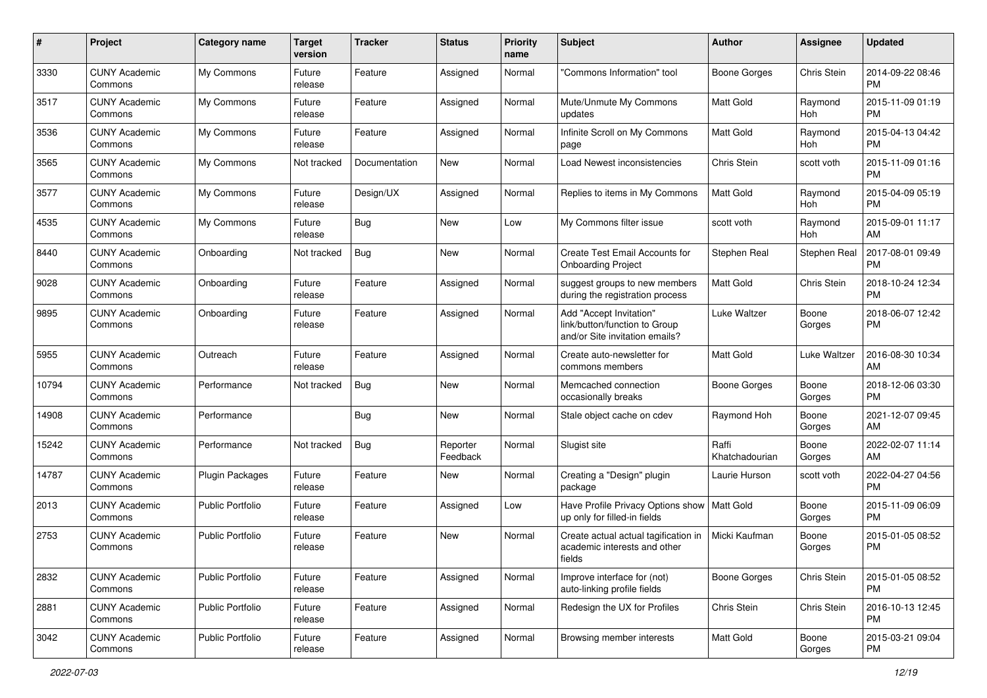| #     | Project                         | <b>Category name</b>    | <b>Target</b><br>version | <b>Tracker</b> | <b>Status</b>        | Priority<br>name | <b>Subject</b>                                                                             | <b>Author</b>           | <b>Assignee</b> | <b>Updated</b>                |
|-------|---------------------------------|-------------------------|--------------------------|----------------|----------------------|------------------|--------------------------------------------------------------------------------------------|-------------------------|-----------------|-------------------------------|
| 3330  | <b>CUNY Academic</b><br>Commons | My Commons              | Future<br>release        | Feature        | Assigned             | Normal           | 'Commons Information" tool                                                                 | <b>Boone Gorges</b>     | Chris Stein     | 2014-09-22 08:46<br>PM.       |
| 3517  | <b>CUNY Academic</b><br>Commons | My Commons              | Future<br>release        | Feature        | Assigned             | Normal           | Mute/Unmute My Commons<br>updates                                                          | <b>Matt Gold</b>        | Raymond<br>Hoh  | 2015-11-09 01:19<br><b>PM</b> |
| 3536  | <b>CUNY Academic</b><br>Commons | My Commons              | Future<br>release        | Feature        | Assigned             | Normal           | Infinite Scroll on My Commons<br>page                                                      | Matt Gold               | Raymond<br>Hoh  | 2015-04-13 04:42<br><b>PM</b> |
| 3565  | <b>CUNY Academic</b><br>Commons | My Commons              | Not tracked              | Documentation  | New                  | Normal           | Load Newest inconsistencies                                                                | Chris Stein             | scott voth      | 2015-11-09 01:16<br><b>PM</b> |
| 3577  | <b>CUNY Academic</b><br>Commons | My Commons              | Future<br>release        | Design/UX      | Assigned             | Normal           | Replies to items in My Commons                                                             | <b>Matt Gold</b>        | Raymond<br>Hoh  | 2015-04-09 05:19<br><b>PM</b> |
| 4535  | <b>CUNY Academic</b><br>Commons | My Commons              | Future<br>release        | Bug            | New                  | Low              | My Commons filter issue                                                                    | scott voth              | Raymond<br>Hoh  | 2015-09-01 11:17<br>AM        |
| 8440  | <b>CUNY Academic</b><br>Commons | Onboarding              | Not tracked              | Bug            | New                  | Normal           | Create Test Email Accounts for<br><b>Onboarding Project</b>                                | Stephen Real            | Stephen Real    | 2017-08-01 09:49<br><b>PM</b> |
| 9028  | <b>CUNY Academic</b><br>Commons | Onboarding              | Future<br>release        | Feature        | Assigned             | Normal           | suggest groups to new members<br>during the registration process                           | <b>Matt Gold</b>        | Chris Stein     | 2018-10-24 12:34<br><b>PM</b> |
| 9895  | <b>CUNY Academic</b><br>Commons | Onboarding              | Future<br>release        | Feature        | Assigned             | Normal           | Add "Accept Invitation"<br>link/button/function to Group<br>and/or Site invitation emails? | Luke Waltzer            | Boone<br>Gorges | 2018-06-07 12:42<br><b>PM</b> |
| 5955  | <b>CUNY Academic</b><br>Commons | Outreach                | Future<br>release        | Feature        | Assigned             | Normal           | Create auto-newsletter for<br>commons members                                              | Matt Gold               | Luke Waltzer    | 2016-08-30 10:34<br>AM        |
| 10794 | <b>CUNY Academic</b><br>Commons | Performance             | Not tracked              | Bug            | New                  | Normal           | Memcached connection<br>occasionally breaks                                                | Boone Gorges            | Boone<br>Gorges | 2018-12-06 03:30<br>PM.       |
| 14908 | <b>CUNY Academic</b><br>Commons | Performance             |                          | Bug            | New                  | Normal           | Stale object cache on cdev                                                                 | Raymond Hoh             | Boone<br>Gorges | 2021-12-07 09:45<br>AM        |
| 15242 | <b>CUNY Academic</b><br>Commons | Performance             | Not tracked              | Bug            | Reporter<br>Feedback | Normal           | Slugist site                                                                               | Raffi<br>Khatchadourian | Boone<br>Gorges | 2022-02-07 11:14<br>AM        |
| 14787 | <b>CUNY Academic</b><br>Commons | <b>Plugin Packages</b>  | Future<br>release        | Feature        | New                  | Normal           | Creating a "Design" plugin<br>package                                                      | Laurie Hurson           | scott voth      | 2022-04-27 04:56<br><b>PM</b> |
| 2013  | <b>CUNY Academic</b><br>Commons | <b>Public Portfolio</b> | Future<br>release        | Feature        | Assigned             | Low              | Have Profile Privacy Options show<br>up only for filled-in fields                          | Matt Gold               | Boone<br>Gorges | 2015-11-09 06:09<br><b>PM</b> |
| 2753  | <b>CUNY Academic</b><br>Commons | <b>Public Portfolio</b> | Future<br>release        | Feature        | New                  | Normal           | Create actual actual tagification in<br>academic interests and other<br>fields             | Micki Kaufman           | Boone<br>Gorges | 2015-01-05 08:52<br><b>PM</b> |
| 2832  | <b>CUNY Academic</b><br>Commons | <b>Public Portfolio</b> | Future<br>release        | Feature        | Assigned             | Normal           | Improve interface for (not)<br>auto-linking profile fields                                 | Boone Gorges            | Chris Stein     | 2015-01-05 08:52<br><b>PM</b> |
| 2881  | <b>CUNY Academic</b><br>Commons | Public Portfolio        | Future<br>release        | Feature        | Assigned             | Normal           | Redesign the UX for Profiles                                                               | Chris Stein             | Chris Stein     | 2016-10-13 12:45<br><b>PM</b> |
| 3042  | <b>CUNY Academic</b><br>Commons | Public Portfolio        | Future<br>release        | Feature        | Assigned             | Normal           | Browsing member interests                                                                  | Matt Gold               | Boone<br>Gorges | 2015-03-21 09:04<br><b>PM</b> |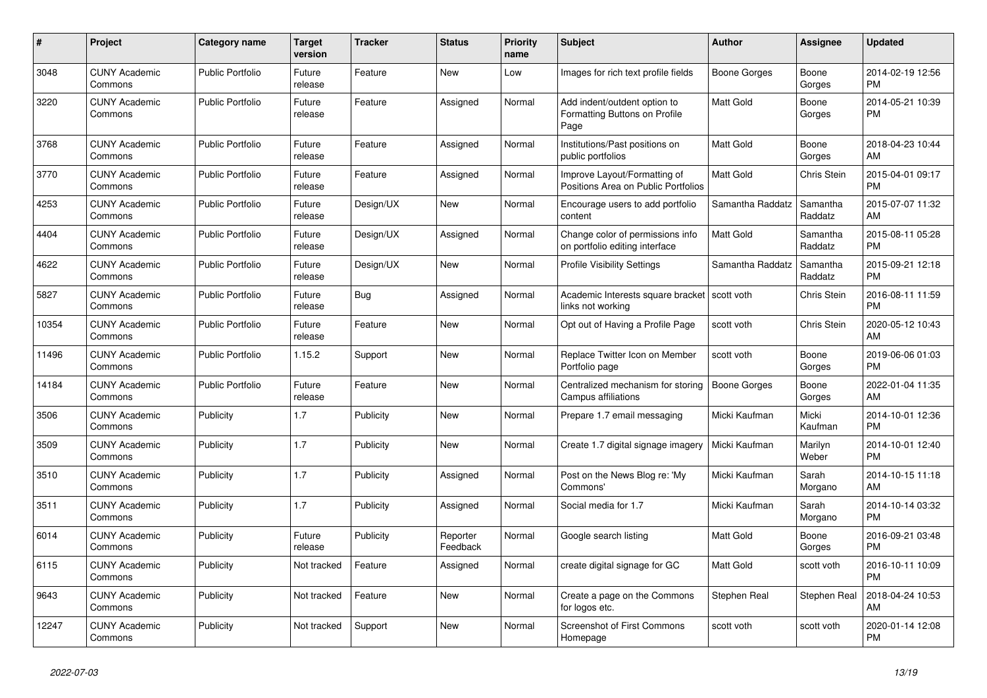| #     | <b>Project</b>                  | Category name           | <b>Target</b><br>version | <b>Tracker</b> | <b>Status</b>        | Priority<br>name | <b>Subject</b>                                                        | <b>Author</b>       | Assignee            | <b>Updated</b>                |
|-------|---------------------------------|-------------------------|--------------------------|----------------|----------------------|------------------|-----------------------------------------------------------------------|---------------------|---------------------|-------------------------------|
| 3048  | <b>CUNY Academic</b><br>Commons | <b>Public Portfolio</b> | Future<br>release        | Feature        | New                  | Low              | Images for rich text profile fields                                   | Boone Gorges        | Boone<br>Gorges     | 2014-02-19 12:56<br><b>PM</b> |
| 3220  | <b>CUNY Academic</b><br>Commons | <b>Public Portfolio</b> | Future<br>release        | Feature        | Assigned             | Normal           | Add indent/outdent option to<br>Formatting Buttons on Profile<br>Page | <b>Matt Gold</b>    | Boone<br>Gorges     | 2014-05-21 10:39<br><b>PM</b> |
| 3768  | <b>CUNY Academic</b><br>Commons | <b>Public Portfolio</b> | Future<br>release        | Feature        | Assigned             | Normal           | Institutions/Past positions on<br>public portfolios                   | <b>Matt Gold</b>    | Boone<br>Gorges     | 2018-04-23 10:44<br>AM        |
| 3770  | <b>CUNY Academic</b><br>Commons | <b>Public Portfolio</b> | Future<br>release        | Feature        | Assigned             | Normal           | Improve Layout/Formatting of<br>Positions Area on Public Portfolios   | <b>Matt Gold</b>    | Chris Stein         | 2015-04-01 09:17<br><b>PM</b> |
| 4253  | <b>CUNY Academic</b><br>Commons | <b>Public Portfolio</b> | Future<br>release        | Design/UX      | New                  | Normal           | Encourage users to add portfolio<br>content                           | Samantha Raddatz    | Samantha<br>Raddatz | 2015-07-07 11:32<br>AM        |
| 4404  | <b>CUNY Academic</b><br>Commons | Public Portfolio        | Future<br>release        | Design/UX      | Assigned             | Normal           | Change color of permissions info<br>on portfolio editing interface    | <b>Matt Gold</b>    | Samantha<br>Raddatz | 2015-08-11 05:28<br><b>PM</b> |
| 4622  | <b>CUNY Academic</b><br>Commons | <b>Public Portfolio</b> | Future<br>release        | Design/UX      | <b>New</b>           | Normal           | <b>Profile Visibility Settings</b>                                    | Samantha Raddatz    | Samantha<br>Raddatz | 2015-09-21 12:18<br><b>PM</b> |
| 5827  | <b>CUNY Academic</b><br>Commons | <b>Public Portfolio</b> | Future<br>release        | Bug            | Assigned             | Normal           | Academic Interests square bracket<br>links not working                | scott voth          | Chris Stein         | 2016-08-11 11:59<br><b>PM</b> |
| 10354 | <b>CUNY Academic</b><br>Commons | <b>Public Portfolio</b> | Future<br>release        | Feature        | New                  | Normal           | Opt out of Having a Profile Page                                      | scott voth          | Chris Stein         | 2020-05-12 10:43<br>AM        |
| 11496 | <b>CUNY Academic</b><br>Commons | <b>Public Portfolio</b> | 1.15.2                   | Support        | New                  | Normal           | Replace Twitter Icon on Member<br>Portfolio page                      | scott voth          | Boone<br>Gorges     | 2019-06-06 01:03<br><b>PM</b> |
| 14184 | <b>CUNY Academic</b><br>Commons | <b>Public Portfolio</b> | Future<br>release        | Feature        | New                  | Normal           | Centralized mechanism for storing<br>Campus affiliations              | <b>Boone Gorges</b> | Boone<br>Gorges     | 2022-01-04 11:35<br>AM        |
| 3506  | <b>CUNY Academic</b><br>Commons | Publicity               | 1.7                      | Publicity      | New                  | Normal           | Prepare 1.7 email messaging                                           | Micki Kaufman       | Micki<br>Kaufman    | 2014-10-01 12:36<br><b>PM</b> |
| 3509  | <b>CUNY Academic</b><br>Commons | Publicity               | 1.7                      | Publicity      | <b>New</b>           | Normal           | Create 1.7 digital signage imagery                                    | Micki Kaufman       | Marilyn<br>Weber    | 2014-10-01 12:40<br><b>PM</b> |
| 3510  | <b>CUNY Academic</b><br>Commons | Publicity               | 1.7                      | Publicity      | Assigned             | Normal           | Post on the News Blog re: 'My<br>Commons'                             | Micki Kaufman       | Sarah<br>Morgano    | 2014-10-15 11:18<br>AM        |
| 3511  | <b>CUNY Academic</b><br>Commons | Publicity               | 1.7                      | Publicity      | Assigned             | Normal           | Social media for 1.7                                                  | Micki Kaufman       | Sarah<br>Morgano    | 2014-10-14 03:32<br><b>PM</b> |
| 6014  | <b>CUNY Academic</b><br>Commons | Publicity               | Future<br>release        | Publicity      | Reporter<br>Feedback | Normal           | Google search listing                                                 | <b>Matt Gold</b>    | Boone<br>Gorges     | 2016-09-21 03:48<br><b>PM</b> |
| 6115  | <b>CUNY Academic</b><br>Commons | Publicity               | Not tracked              | Feature        | Assigned             | Normal           | create digital signage for GC                                         | <b>Matt Gold</b>    | scott voth          | 2016-10-11 10:09<br><b>PM</b> |
| 9643  | <b>CUNY Academic</b><br>Commons | Publicity               | Not tracked              | Feature        | <b>New</b>           | Normal           | Create a page on the Commons<br>for logos etc.                        | Stephen Real        | Stephen Real        | 2018-04-24 10:53<br>AM        |
| 12247 | <b>CUNY Academic</b><br>Commons | Publicity               | Not tracked              | Support        | <b>New</b>           | Normal           | <b>Screenshot of First Commons</b><br>Homepage                        | scott voth          | scott voth          | 2020-01-14 12:08<br><b>PM</b> |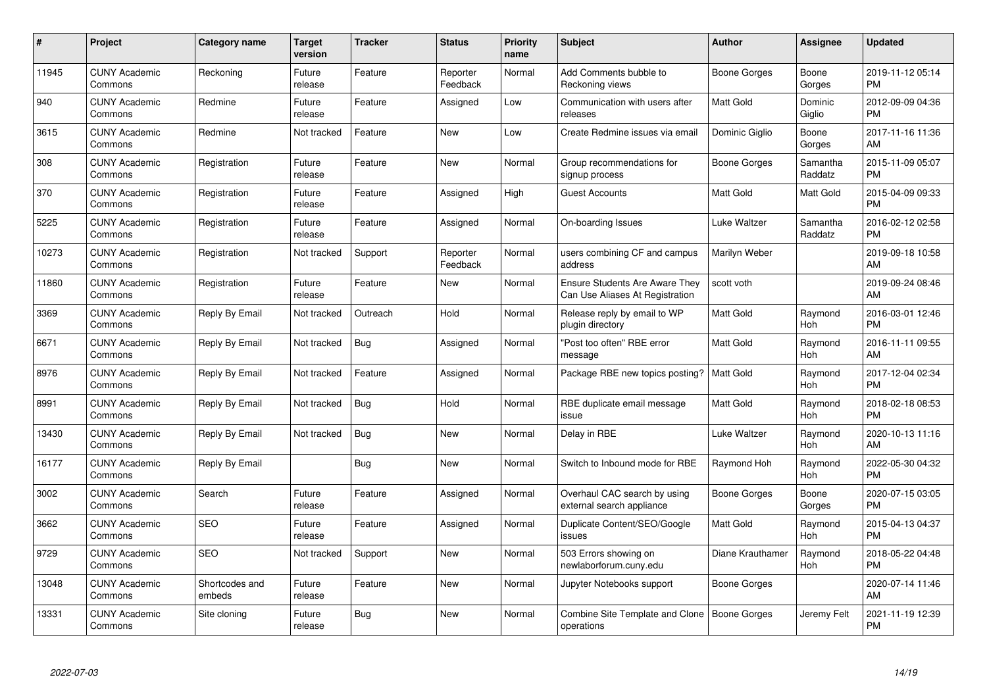| $\#$  | Project                         | <b>Category name</b>     | <b>Target</b><br>version | <b>Tracker</b> | <b>Status</b>        | Priority<br>name | <b>Subject</b>                                                           | <b>Author</b>    | <b>Assignee</b>     | <b>Updated</b>                |
|-------|---------------------------------|--------------------------|--------------------------|----------------|----------------------|------------------|--------------------------------------------------------------------------|------------------|---------------------|-------------------------------|
| 11945 | <b>CUNY Academic</b><br>Commons | Reckoning                | Future<br>release        | Feature        | Reporter<br>Feedback | Normal           | Add Comments bubble to<br>Reckoning views                                | Boone Gorges     | Boone<br>Gorges     | 2019-11-12 05:14<br><b>PM</b> |
| 940   | <b>CUNY Academic</b><br>Commons | Redmine                  | Future<br>release        | Feature        | Assigned             | Low              | Communication with users after<br>releases                               | <b>Matt Gold</b> | Dominic<br>Giglio   | 2012-09-09 04:36<br><b>PM</b> |
| 3615  | <b>CUNY Academic</b><br>Commons | Redmine                  | Not tracked              | Feature        | <b>New</b>           | Low              | Create Redmine issues via email                                          | Dominic Giglio   | Boone<br>Gorges     | 2017-11-16 11:36<br>AM        |
| 308   | <b>CUNY Academic</b><br>Commons | Registration             | Future<br>release        | Feature        | <b>New</b>           | Normal           | Group recommendations for<br>signup process                              | Boone Gorges     | Samantha<br>Raddatz | 2015-11-09 05:07<br><b>PM</b> |
| 370   | <b>CUNY Academic</b><br>Commons | Registration             | Future<br>release        | Feature        | Assigned             | High             | <b>Guest Accounts</b>                                                    | Matt Gold        | Matt Gold           | 2015-04-09 09:33<br><b>PM</b> |
| 5225  | <b>CUNY Academic</b><br>Commons | Registration             | Future<br>release        | Feature        | Assigned             | Normal           | On-boarding Issues                                                       | Luke Waltzer     | Samantha<br>Raddatz | 2016-02-12 02:58<br><b>PM</b> |
| 10273 | <b>CUNY Academic</b><br>Commons | Registration             | Not tracked              | Support        | Reporter<br>Feedback | Normal           | users combining CF and campus<br>address                                 | Marilyn Weber    |                     | 2019-09-18 10:58<br>AM        |
| 11860 | <b>CUNY Academic</b><br>Commons | Registration             | Future<br>release        | Feature        | New                  | Normal           | <b>Ensure Students Are Aware They</b><br>Can Use Aliases At Registration | scott voth       |                     | 2019-09-24 08:46<br>AM        |
| 3369  | <b>CUNY Academic</b><br>Commons | Reply By Email           | Not tracked              | Outreach       | Hold                 | Normal           | Release reply by email to WP<br>plugin directory                         | <b>Matt Gold</b> | Raymond<br>Hoh      | 2016-03-01 12:46<br><b>PM</b> |
| 6671  | <b>CUNY Academic</b><br>Commons | Reply By Email           | Not tracked              | Bug            | Assigned             | Normal           | "Post too often" RBE error<br>message                                    | <b>Matt Gold</b> | Raymond<br>Hoh      | 2016-11-11 09:55<br>AM        |
| 8976  | <b>CUNY Academic</b><br>Commons | Reply By Email           | Not tracked              | Feature        | Assigned             | Normal           | Package RBE new topics posting?                                          | <b>Matt Gold</b> | Raymond<br>Hoh      | 2017-12-04 02:34<br><b>PM</b> |
| 8991  | <b>CUNY Academic</b><br>Commons | Reply By Email           | Not tracked              | <b>Bug</b>     | Hold                 | Normal           | RBE duplicate email message<br>issue                                     | Matt Gold        | Raymond<br>Hoh      | 2018-02-18 08:53<br><b>PM</b> |
| 13430 | <b>CUNY Academic</b><br>Commons | Reply By Email           | Not tracked              | <b>Bug</b>     | New                  | Normal           | Delay in RBE                                                             | Luke Waltzer     | Raymond<br>Hoh      | 2020-10-13 11:16<br>AM        |
| 16177 | <b>CUNY Academic</b><br>Commons | Reply By Email           |                          | Bug            | New                  | Normal           | Switch to Inbound mode for RBE                                           | Raymond Hoh      | Raymond<br>Hoh      | 2022-05-30 04:32<br><b>PM</b> |
| 3002  | <b>CUNY Academic</b><br>Commons | Search                   | Future<br>release        | Feature        | Assigned             | Normal           | Overhaul CAC search by using<br>external search appliance                | Boone Gorges     | Boone<br>Gorges     | 2020-07-15 03:05<br><b>PM</b> |
| 3662  | <b>CUNY Academic</b><br>Commons | <b>SEO</b>               | Future<br>release        | Feature        | Assigned             | Normal           | Duplicate Content/SEO/Google<br>issues                                   | Matt Gold        | Raymond<br>Hoh      | 2015-04-13 04:37<br><b>PM</b> |
| 9729  | <b>CUNY Academic</b><br>Commons | <b>SEO</b>               | Not tracked              | Support        | New                  | Normal           | 503 Errors showing on<br>newlaborforum.cuny.edu                          | Diane Krauthamer | Raymond<br>Hoh      | 2018-05-22 04:48<br><b>PM</b> |
| 13048 | <b>CUNY Academic</b><br>Commons | Shortcodes and<br>embeds | Future<br>release        | Feature        | New                  | Normal           | Jupyter Notebooks support                                                | Boone Gorges     |                     | 2020-07-14 11:46<br>AM        |
| 13331 | <b>CUNY Academic</b><br>Commons | Site cloning             | Future<br>release        | <b>Bug</b>     | <b>New</b>           | Normal           | Combine Site Template and Clone<br>operations                            | Boone Gorges     | Jeremy Felt         | 2021-11-19 12:39<br><b>PM</b> |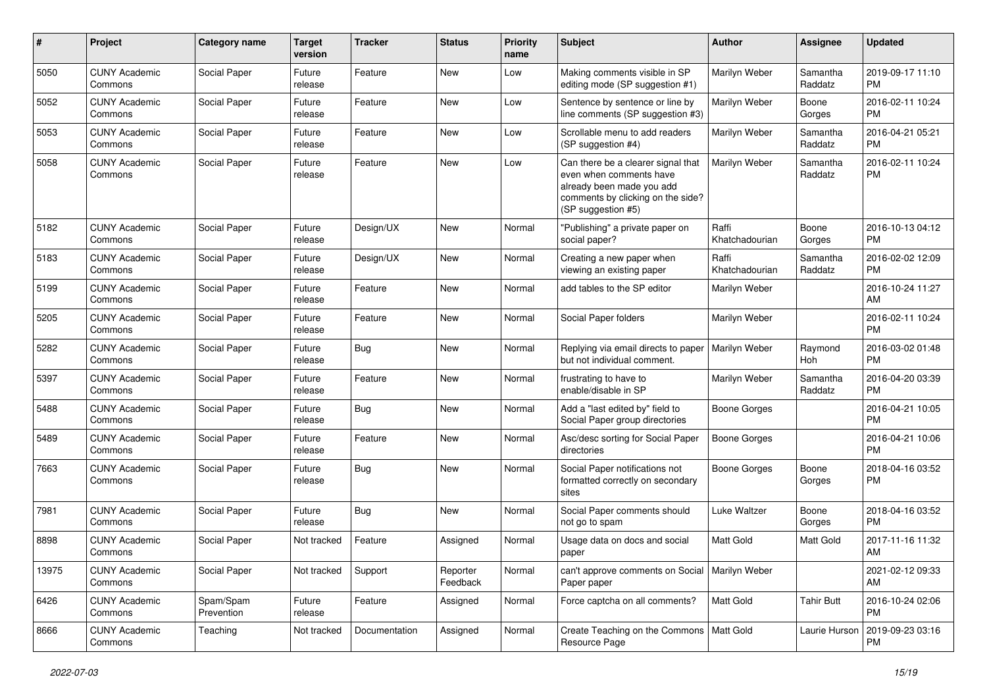| #     | Project                         | <b>Category name</b>    | <b>Target</b><br>version | <b>Tracker</b> | <b>Status</b>        | <b>Priority</b><br>name | Subject                                                                                                                                               | Author                  | <b>Assignee</b>     | <b>Updated</b>                |
|-------|---------------------------------|-------------------------|--------------------------|----------------|----------------------|-------------------------|-------------------------------------------------------------------------------------------------------------------------------------------------------|-------------------------|---------------------|-------------------------------|
| 5050  | <b>CUNY Academic</b><br>Commons | Social Paper            | Future<br>release        | Feature        | <b>New</b>           | Low                     | Making comments visible in SP<br>editing mode (SP suggestion #1)                                                                                      | Marilyn Weber           | Samantha<br>Raddatz | 2019-09-17 11:10<br><b>PM</b> |
| 5052  | <b>CUNY Academic</b><br>Commons | Social Paper            | Future<br>release        | Feature        | New                  | Low                     | Sentence by sentence or line by<br>line comments (SP suggestion #3)                                                                                   | Marilyn Weber           | Boone<br>Gorges     | 2016-02-11 10:24<br><b>PM</b> |
| 5053  | <b>CUNY Academic</b><br>Commons | Social Paper            | Future<br>release        | Feature        | <b>New</b>           | Low                     | Scrollable menu to add readers<br>(SP suggestion #4)                                                                                                  | Marilyn Weber           | Samantha<br>Raddatz | 2016-04-21 05:21<br><b>PM</b> |
| 5058  | <b>CUNY Academic</b><br>Commons | Social Paper            | Future<br>release        | Feature        | <b>New</b>           | Low                     | Can there be a clearer signal that<br>even when comments have<br>already been made you add<br>comments by clicking on the side?<br>(SP suggestion #5) | Marilyn Weber           | Samantha<br>Raddatz | 2016-02-11 10:24<br><b>PM</b> |
| 5182  | <b>CUNY Academic</b><br>Commons | Social Paper            | Future<br>release        | Design/UX      | New                  | Normal                  | "Publishing" a private paper on<br>social paper?                                                                                                      | Raffi<br>Khatchadourian | Boone<br>Gorges     | 2016-10-13 04:12<br><b>PM</b> |
| 5183  | <b>CUNY Academic</b><br>Commons | Social Paper            | Future<br>release        | Design/UX      | New                  | Normal                  | Creating a new paper when<br>viewing an existing paper                                                                                                | Raffi<br>Khatchadourian | Samantha<br>Raddatz | 2016-02-02 12:09<br><b>PM</b> |
| 5199  | <b>CUNY Academic</b><br>Commons | Social Paper            | Future<br>release        | Feature        | New                  | Normal                  | add tables to the SP editor                                                                                                                           | Marilyn Weber           |                     | 2016-10-24 11:27<br>AM        |
| 5205  | <b>CUNY Academic</b><br>Commons | Social Paper            | Future<br>release        | Feature        | <b>New</b>           | Normal                  | Social Paper folders                                                                                                                                  | Marilyn Weber           |                     | 2016-02-11 10:24<br><b>PM</b> |
| 5282  | <b>CUNY Academic</b><br>Commons | Social Paper            | Future<br>release        | Bug            | New                  | Normal                  | Replying via email directs to paper<br>but not individual comment.                                                                                    | Marilyn Weber           | Raymond<br>Hoh      | 2016-03-02 01:48<br><b>PM</b> |
| 5397  | <b>CUNY Academic</b><br>Commons | Social Paper            | Future<br>release        | Feature        | <b>New</b>           | Normal                  | frustrating to have to<br>enable/disable in SP                                                                                                        | Marilyn Weber           | Samantha<br>Raddatz | 2016-04-20 03:39<br><b>PM</b> |
| 5488  | <b>CUNY Academic</b><br>Commons | Social Paper            | Future<br>release        | Bug            | <b>New</b>           | Normal                  | Add a "last edited by" field to<br>Social Paper group directories                                                                                     | <b>Boone Gorges</b>     |                     | 2016-04-21 10:05<br><b>PM</b> |
| 5489  | <b>CUNY Academic</b><br>Commons | Social Paper            | Future<br>release        | Feature        | <b>New</b>           | Normal                  | Asc/desc sorting for Social Paper<br>directories                                                                                                      | Boone Gorges            |                     | 2016-04-21 10:06<br><b>PM</b> |
| 7663  | <b>CUNY Academic</b><br>Commons | Social Paper            | Future<br>release        | <b>Bug</b>     | New                  | Normal                  | Social Paper notifications not<br>formatted correctly on secondary<br>sites                                                                           | Boone Gorges            | Boone<br>Gorges     | 2018-04-16 03:52<br><b>PM</b> |
| 7981  | <b>CUNY Academic</b><br>Commons | Social Paper            | Future<br>release        | Bug            | New                  | Normal                  | Social Paper comments should<br>not go to spam                                                                                                        | Luke Waltzer            | Boone<br>Gorges     | 2018-04-16 03:52<br><b>PM</b> |
| 8898  | <b>CUNY Academic</b><br>Commons | Social Paper            | Not tracked              | Feature        | Assigned             | Normal                  | Usage data on docs and social<br>paper                                                                                                                | <b>Matt Gold</b>        | Matt Gold           | 2017-11-16 11:32<br>AM        |
| 13975 | <b>CUNY Academic</b><br>Commons | Social Paper            | Not tracked              | Support        | Reporter<br>Feedback | Normal                  | can't approve comments on Social   Marilyn Weber<br>Paper paper                                                                                       |                         |                     | 2021-02-12 09:33<br>AM        |
| 6426  | <b>CUNY Academic</b><br>Commons | Spam/Spam<br>Prevention | Future<br>release        | Feature        | Assigned             | Normal                  | Force captcha on all comments?                                                                                                                        | Matt Gold               | <b>Tahir Butt</b>   | 2016-10-24 02:06<br><b>PM</b> |
| 8666  | <b>CUNY Academic</b><br>Commons | Teaching                | Not tracked              | Documentation  | Assigned             | Normal                  | Create Teaching on the Commons   Matt Gold<br>Resource Page                                                                                           |                         | Laurie Hurson       | 2019-09-23 03:16<br><b>PM</b> |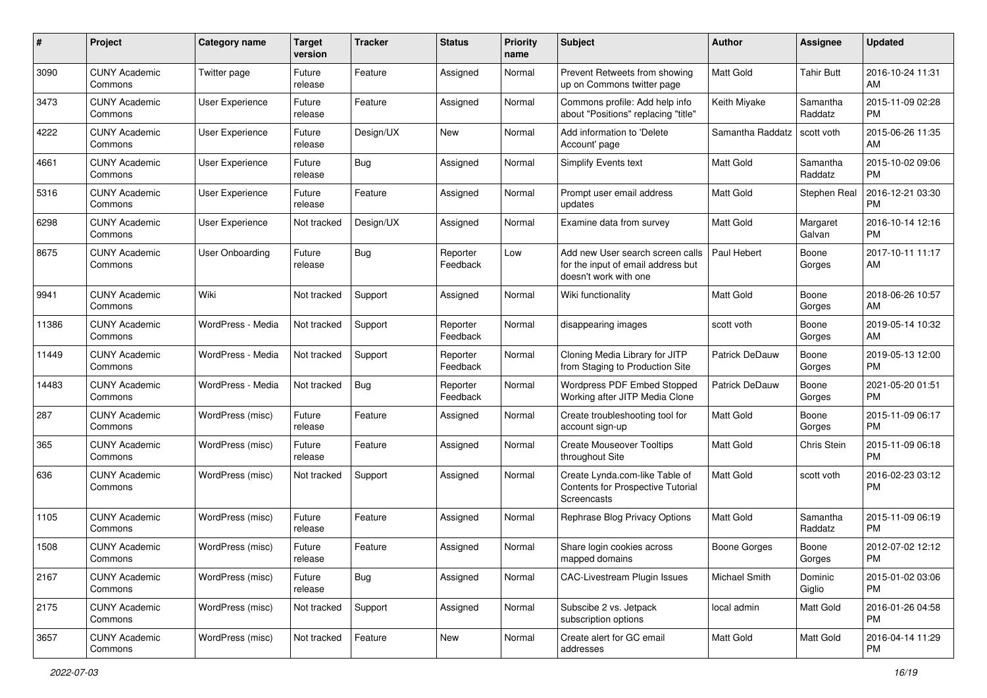| #     | Project                         | <b>Category name</b>   | <b>Target</b><br>version | <b>Tracker</b> | <b>Status</b>        | <b>Priority</b><br>name | Subject                                                                                         | Author              | <b>Assignee</b>     | <b>Updated</b>                |
|-------|---------------------------------|------------------------|--------------------------|----------------|----------------------|-------------------------|-------------------------------------------------------------------------------------------------|---------------------|---------------------|-------------------------------|
| 3090  | <b>CUNY Academic</b><br>Commons | Twitter page           | Future<br>release        | Feature        | Assigned             | Normal                  | Prevent Retweets from showing<br>up on Commons twitter page                                     | <b>Matt Gold</b>    | <b>Tahir Butt</b>   | 2016-10-24 11:31<br>AM        |
| 3473  | <b>CUNY Academic</b><br>Commons | User Experience        | Future<br>release        | Feature        | Assigned             | Normal                  | Commons profile: Add help info<br>about "Positions" replacing "title"                           | Keith Miyake        | Samantha<br>Raddatz | 2015-11-09 02:28<br><b>PM</b> |
| 4222  | <b>CUNY Academic</b><br>Commons | <b>User Experience</b> | Future<br>release        | Design/UX      | New                  | Normal                  | Add information to 'Delete<br>Account' page                                                     | Samantha Raddatz    | scott voth          | 2015-06-26 11:35<br>AM        |
| 4661  | <b>CUNY Academic</b><br>Commons | User Experience        | Future<br>release        | Bug            | Assigned             | Normal                  | Simplify Events text                                                                            | Matt Gold           | Samantha<br>Raddatz | 2015-10-02 09:06<br><b>PM</b> |
| 5316  | <b>CUNY Academic</b><br>Commons | <b>User Experience</b> | Future<br>release        | Feature        | Assigned             | Normal                  | Prompt user email address<br>updates                                                            | <b>Matt Gold</b>    | Stephen Real        | 2016-12-21 03:30<br><b>PM</b> |
| 6298  | <b>CUNY Academic</b><br>Commons | User Experience        | Not tracked              | Design/UX      | Assigned             | Normal                  | Examine data from survey                                                                        | Matt Gold           | Margaret<br>Galvan  | 2016-10-14 12:16<br><b>PM</b> |
| 8675  | <b>CUNY Academic</b><br>Commons | <b>User Onboarding</b> | Future<br>release        | Bug            | Reporter<br>Feedback | Low                     | Add new User search screen calls<br>for the input of email address but<br>doesn't work with one | Paul Hebert         | Boone<br>Gorges     | 2017-10-11 11:17<br>AM        |
| 9941  | <b>CUNY Academic</b><br>Commons | Wiki                   | Not tracked              | Support        | Assigned             | Normal                  | Wiki functionality                                                                              | Matt Gold           | Boone<br>Gorges     | 2018-06-26 10:57<br>AM        |
| 11386 | <b>CUNY Academic</b><br>Commons | WordPress - Media      | Not tracked              | Support        | Reporter<br>Feedback | Normal                  | disappearing images                                                                             | scott voth          | Boone<br>Gorges     | 2019-05-14 10:32<br>AM        |
| 11449 | <b>CUNY Academic</b><br>Commons | WordPress - Media      | Not tracked              | Support        | Reporter<br>Feedback | Normal                  | Cloning Media Library for JITP<br>from Staging to Production Site                               | Patrick DeDauw      | Boone<br>Gorges     | 2019-05-13 12:00<br><b>PM</b> |
| 14483 | <b>CUNY Academic</b><br>Commons | WordPress - Media      | Not tracked              | Bug            | Reporter<br>Feedback | Normal                  | Wordpress PDF Embed Stopped<br>Working after JITP Media Clone                                   | Patrick DeDauw      | Boone<br>Gorges     | 2021-05-20 01:51<br><b>PM</b> |
| 287   | <b>CUNY Academic</b><br>Commons | WordPress (misc)       | Future<br>release        | Feature        | Assigned             | Normal                  | Create troubleshooting tool for<br>account sign-up                                              | <b>Matt Gold</b>    | Boone<br>Gorges     | 2015-11-09 06:17<br><b>PM</b> |
| 365   | <b>CUNY Academic</b><br>Commons | WordPress (misc)       | Future<br>release        | Feature        | Assigned             | Normal                  | <b>Create Mouseover Tooltips</b><br>throughout Site                                             | <b>Matt Gold</b>    | Chris Stein         | 2015-11-09 06:18<br><b>PM</b> |
| 636   | <b>CUNY Academic</b><br>Commons | WordPress (misc)       | Not tracked              | Support        | Assigned             | Normal                  | Create Lynda.com-like Table of<br>Contents for Prospective Tutorial<br>Screencasts              | Matt Gold           | scott voth          | 2016-02-23 03:12<br><b>PM</b> |
| 1105  | <b>CUNY Academic</b><br>Commons | WordPress (misc)       | Future<br>release        | Feature        | Assigned             | Normal                  | Rephrase Blog Privacy Options                                                                   | Matt Gold           | Samantha<br>Raddatz | 2015-11-09 06:19<br><b>PM</b> |
| 1508  | <b>CUNY Academic</b><br>Commons | WordPress (misc)       | Future<br>release        | Feature        | Assigned             | Normal                  | Share login cookies across<br>mapped domains                                                    | <b>Boone Gorges</b> | Boone<br>Gorges     | 2012-07-02 12:12<br>PM        |
| 2167  | <b>CUNY Academic</b><br>Commons | WordPress (misc)       | Future<br>release        | Bug            | Assigned             | Normal                  | <b>CAC-Livestream Plugin Issues</b>                                                             | Michael Smith       | Dominic<br>Giglio   | 2015-01-02 03:06<br><b>PM</b> |
| 2175  | <b>CUNY Academic</b><br>Commons | WordPress (misc)       | Not tracked              | Support        | Assigned             | Normal                  | Subscibe 2 vs. Jetpack<br>subscription options                                                  | local admin         | Matt Gold           | 2016-01-26 04:58<br><b>PM</b> |
| 3657  | <b>CUNY Academic</b><br>Commons | WordPress (misc)       | Not tracked              | Feature        | New                  | Normal                  | Create alert for GC email<br>addresses                                                          | Matt Gold           | Matt Gold           | 2016-04-14 11:29<br><b>PM</b> |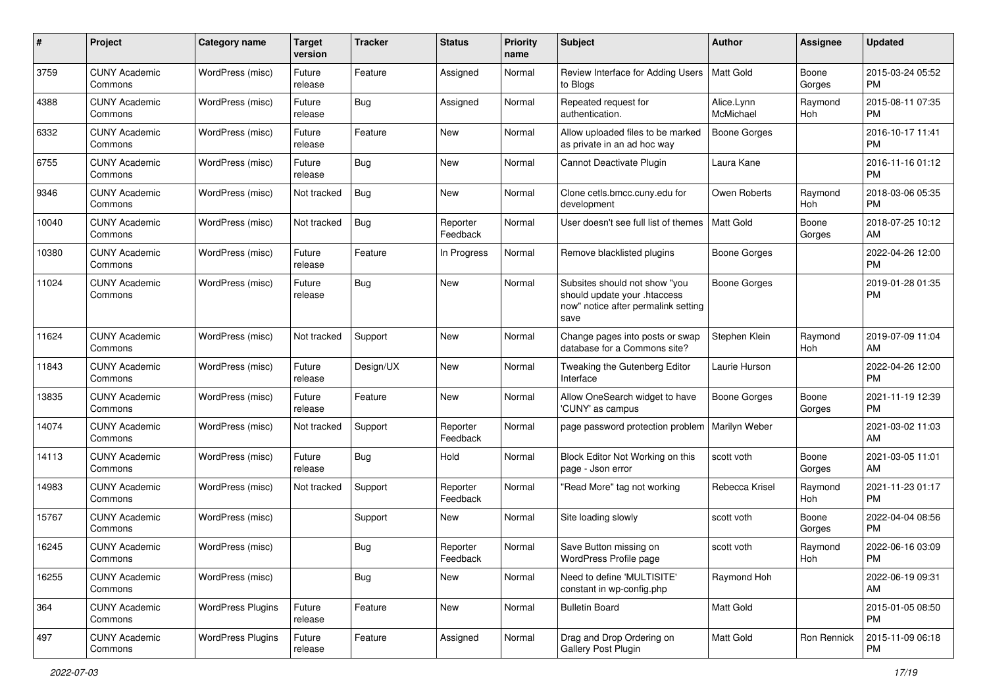| #     | Project                         | <b>Category name</b>     | <b>Target</b><br>version | <b>Tracker</b> | <b>Status</b>        | <b>Priority</b><br>name | Subject                                                                                                      | Author                  | Assignee        | <b>Updated</b>                |
|-------|---------------------------------|--------------------------|--------------------------|----------------|----------------------|-------------------------|--------------------------------------------------------------------------------------------------------------|-------------------------|-----------------|-------------------------------|
| 3759  | <b>CUNY Academic</b><br>Commons | WordPress (misc)         | Future<br>release        | Feature        | Assigned             | Normal                  | Review Interface for Adding Users<br>to Blogs                                                                | <b>Matt Gold</b>        | Boone<br>Gorges | 2015-03-24 05:52<br><b>PM</b> |
| 4388  | <b>CUNY Academic</b><br>Commons | WordPress (misc)         | Future<br>release        | Bug            | Assigned             | Normal                  | Repeated request for<br>authentication.                                                                      | Alice.Lynn<br>McMichael | Raymond<br>Hoh  | 2015-08-11 07:35<br><b>PM</b> |
| 6332  | CUNY Academic<br>Commons        | WordPress (misc)         | Future<br>release        | Feature        | New                  | Normal                  | Allow uploaded files to be marked<br>as private in an ad hoc way                                             | Boone Gorges            |                 | 2016-10-17 11:41<br><b>PM</b> |
| 6755  | <b>CUNY Academic</b><br>Commons | WordPress (misc)         | Future<br>release        | Bug            | New                  | Normal                  | Cannot Deactivate Plugin                                                                                     | Laura Kane              |                 | 2016-11-16 01:12<br><b>PM</b> |
| 9346  | <b>CUNY Academic</b><br>Commons | WordPress (misc)         | Not tracked              | Bug            | New                  | Normal                  | Clone cetls.bmcc.cuny.edu for<br>development                                                                 | Owen Roberts            | Raymond<br>Hoh  | 2018-03-06 05:35<br><b>PM</b> |
| 10040 | <b>CUNY Academic</b><br>Commons | WordPress (misc)         | Not tracked              | Bug            | Reporter<br>Feedback | Normal                  | User doesn't see full list of themes                                                                         | <b>Matt Gold</b>        | Boone<br>Gorges | 2018-07-25 10:12<br>AM        |
| 10380 | <b>CUNY Academic</b><br>Commons | WordPress (misc)         | Future<br>release        | Feature        | In Progress          | Normal                  | Remove blacklisted plugins                                                                                   | <b>Boone Gorges</b>     |                 | 2022-04-26 12:00<br><b>PM</b> |
| 11024 | <b>CUNY Academic</b><br>Commons | WordPress (misc)         | Future<br>release        | Bug            | New                  | Normal                  | Subsites should not show "you<br>should update your .htaccess<br>now" notice after permalink setting<br>save | <b>Boone Gorges</b>     |                 | 2019-01-28 01:35<br><b>PM</b> |
| 11624 | <b>CUNY Academic</b><br>Commons | WordPress (misc)         | Not tracked              | Support        | New                  | Normal                  | Change pages into posts or swap<br>database for a Commons site?                                              | Stephen Klein           | Raymond<br>Hoh  | 2019-07-09 11:04<br>AM        |
| 11843 | <b>CUNY Academic</b><br>Commons | WordPress (misc)         | Future<br>release        | Design/UX      | New                  | Normal                  | Tweaking the Gutenberg Editor<br>Interface                                                                   | Laurie Hurson           |                 | 2022-04-26 12:00<br><b>PM</b> |
| 13835 | <b>CUNY Academic</b><br>Commons | WordPress (misc)         | Future<br>release        | Feature        | New                  | Normal                  | Allow OneSearch widget to have<br>'CUNY' as campus                                                           | <b>Boone Gorges</b>     | Boone<br>Gorges | 2021-11-19 12:39<br><b>PM</b> |
| 14074 | <b>CUNY Academic</b><br>Commons | WordPress (misc)         | Not tracked              | Support        | Reporter<br>Feedback | Normal                  | page password protection problem                                                                             | Marilyn Weber           |                 | 2021-03-02 11:03<br>AM        |
| 14113 | <b>CUNY Academic</b><br>Commons | WordPress (misc)         | Future<br>release        | Bug            | Hold                 | Normal                  | Block Editor Not Working on this<br>page - Json error                                                        | scott voth              | Boone<br>Gorges | 2021-03-05 11:01<br>AM        |
| 14983 | <b>CUNY Academic</b><br>Commons | WordPress (misc)         | Not tracked              | Support        | Reporter<br>Feedback | Normal                  | "Read More" tag not working                                                                                  | Rebecca Krisel          | Raymond<br>Hoh  | 2021-11-23 01:17<br><b>PM</b> |
| 15767 | <b>CUNY Academic</b><br>Commons | WordPress (misc)         |                          | Support        | New                  | Normal                  | Site loading slowly                                                                                          | scott voth              | Boone<br>Gorges | 2022-04-04 08:56<br><b>PM</b> |
| 16245 | <b>CUNY Academic</b><br>Commons | WordPress (misc)         |                          | <b>Bug</b>     | Reporter<br>Feedback | Normal                  | Save Button missing on<br>WordPress Profile page                                                             | scott voth              | Raymond<br>Hoh  | 2022-06-16 03:09<br>PM        |
| 16255 | <b>CUNY Academic</b><br>Commons | WordPress (misc)         |                          | <b>Bug</b>     | New                  | Normal                  | Need to define 'MULTISITE'<br>constant in wp-config.php                                                      | Raymond Hoh             |                 | 2022-06-19 09:31<br>AM        |
| 364   | <b>CUNY Academic</b><br>Commons | <b>WordPress Plugins</b> | Future<br>release        | Feature        | New                  | Normal                  | <b>Bulletin Board</b>                                                                                        | Matt Gold               |                 | 2015-01-05 08:50<br><b>PM</b> |
| 497   | <b>CUNY Academic</b><br>Commons | <b>WordPress Plugins</b> | Future<br>release        | Feature        | Assigned             | Normal                  | Drag and Drop Ordering on<br>Gallery Post Plugin                                                             | Matt Gold               | Ron Rennick     | 2015-11-09 06:18<br><b>PM</b> |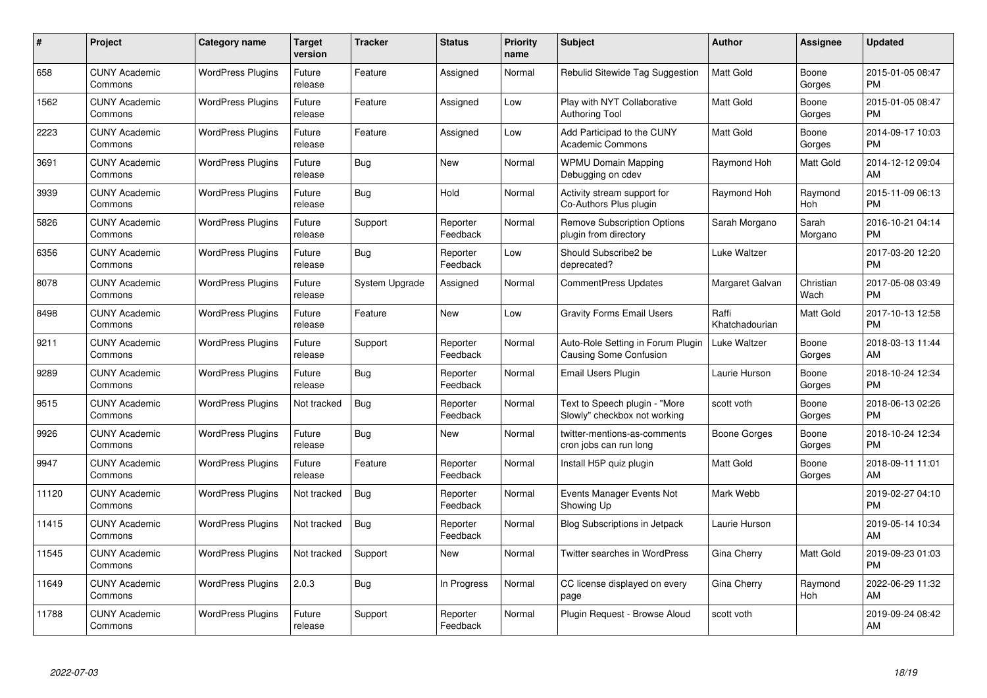| #     | Project                         | <b>Category name</b>     | Target<br>version | <b>Tracker</b> | <b>Status</b>        | Priority<br>name | <b>Subject</b>                                                     | <b>Author</b>           | <b>Assignee</b>   | <b>Updated</b>                |
|-------|---------------------------------|--------------------------|-------------------|----------------|----------------------|------------------|--------------------------------------------------------------------|-------------------------|-------------------|-------------------------------|
| 658   | <b>CUNY Academic</b><br>Commons | <b>WordPress Plugins</b> | Future<br>release | Feature        | Assigned             | Normal           | Rebulid Sitewide Tag Suggestion                                    | <b>Matt Gold</b>        | Boone<br>Gorges   | 2015-01-05 08:47<br><b>PM</b> |
| 1562  | <b>CUNY Academic</b><br>Commons | <b>WordPress Plugins</b> | Future<br>release | Feature        | Assigned             | Low              | Play with NYT Collaborative<br><b>Authoring Tool</b>               | <b>Matt Gold</b>        | Boone<br>Gorges   | 2015-01-05 08:47<br><b>PM</b> |
| 2223  | <b>CUNY Academic</b><br>Commons | <b>WordPress Plugins</b> | Future<br>release | Feature        | Assigned             | Low              | Add Participad to the CUNY<br><b>Academic Commons</b>              | Matt Gold               | Boone<br>Gorges   | 2014-09-17 10:03<br><b>PM</b> |
| 3691  | <b>CUNY Academic</b><br>Commons | <b>WordPress Plugins</b> | Future<br>release | <b>Bug</b>     | <b>New</b>           | Normal           | <b>WPMU Domain Mapping</b><br>Debugging on cdev                    | Raymond Hoh             | Matt Gold         | 2014-12-12 09:04<br>AM        |
| 3939  | <b>CUNY Academic</b><br>Commons | <b>WordPress Plugins</b> | Future<br>release | Bug            | Hold                 | Normal           | Activity stream support for<br>Co-Authors Plus plugin              | Raymond Hoh             | Raymond<br>Hoh    | 2015-11-09 06:13<br><b>PM</b> |
| 5826  | <b>CUNY Academic</b><br>Commons | <b>WordPress Plugins</b> | Future<br>release | Support        | Reporter<br>Feedback | Normal           | <b>Remove Subscription Options</b><br>plugin from directory        | Sarah Morgano           | Sarah<br>Morgano  | 2016-10-21 04:14<br><b>PM</b> |
| 6356  | <b>CUNY Academic</b><br>Commons | <b>WordPress Plugins</b> | Future<br>release | Bug            | Reporter<br>Feedback | Low              | Should Subscribe2 be<br>deprecated?                                | Luke Waltzer            |                   | 2017-03-20 12:20<br><b>PM</b> |
| 8078  | <b>CUNY Academic</b><br>Commons | <b>WordPress Plugins</b> | Future<br>release | System Upgrade | Assigned             | Normal           | <b>CommentPress Updates</b>                                        | Margaret Galvan         | Christian<br>Wach | 2017-05-08 03:49<br><b>PM</b> |
| 8498  | <b>CUNY Academic</b><br>Commons | <b>WordPress Plugins</b> | Future<br>release | Feature        | New                  | Low              | <b>Gravity Forms Email Users</b>                                   | Raffi<br>Khatchadourian | Matt Gold         | 2017-10-13 12:58<br><b>PM</b> |
| 9211  | <b>CUNY Academic</b><br>Commons | <b>WordPress Plugins</b> | Future<br>release | Support        | Reporter<br>Feedback | Normal           | Auto-Role Setting in Forum Plugin<br><b>Causing Some Confusion</b> | Luke Waltzer            | Boone<br>Gorges   | 2018-03-13 11:44<br>AM        |
| 9289  | <b>CUNY Academic</b><br>Commons | <b>WordPress Plugins</b> | Future<br>release | <b>Bug</b>     | Reporter<br>Feedback | Normal           | Email Users Plugin                                                 | Laurie Hurson           | Boone<br>Gorges   | 2018-10-24 12:34<br><b>PM</b> |
| 9515  | <b>CUNY Academic</b><br>Commons | <b>WordPress Plugins</b> | Not tracked       | Bug            | Reporter<br>Feedback | Normal           | Text to Speech plugin - "More<br>Slowly" checkbox not working      | scott voth              | Boone<br>Gorges   | 2018-06-13 02:26<br><b>PM</b> |
| 9926  | <b>CUNY Academic</b><br>Commons | <b>WordPress Plugins</b> | Future<br>release | Bug            | New                  | Normal           | twitter-mentions-as-comments<br>cron jobs can run long             | Boone Gorges            | Boone<br>Gorges   | 2018-10-24 12:34<br><b>PM</b> |
| 9947  | <b>CUNY Academic</b><br>Commons | <b>WordPress Plugins</b> | Future<br>release | Feature        | Reporter<br>Feedback | Normal           | Install H5P quiz plugin                                            | Matt Gold               | Boone<br>Gorges   | 2018-09-11 11:01<br>AM        |
| 11120 | <b>CUNY Academic</b><br>Commons | <b>WordPress Plugins</b> | Not tracked       | <b>Bug</b>     | Reporter<br>Feedback | Normal           | Events Manager Events Not<br>Showing Up                            | Mark Webb               |                   | 2019-02-27 04:10<br><b>PM</b> |
| 11415 | <b>CUNY Academic</b><br>Commons | <b>WordPress Plugins</b> | Not tracked       | Bug            | Reporter<br>Feedback | Normal           | <b>Blog Subscriptions in Jetpack</b>                               | Laurie Hurson           |                   | 2019-05-14 10:34<br>AM        |
| 11545 | <b>CUNY Academic</b><br>Commons | <b>WordPress Plugins</b> | Not tracked       | Support        | New                  | Normal           | Twitter searches in WordPress                                      | Gina Cherry             | Matt Gold         | 2019-09-23 01:03<br><b>PM</b> |
| 11649 | <b>CUNY Academic</b><br>Commons | <b>WordPress Plugins</b> | 2.0.3             | Bug            | In Progress          | Normal           | CC license displayed on every<br>page                              | Gina Cherry             | Raymond<br>Hoh    | 2022-06-29 11:32<br>AM        |
| 11788 | CUNY Academic<br>Commons        | <b>WordPress Plugins</b> | Future<br>release | Support        | Reporter<br>Feedback | Normal           | Plugin Request - Browse Aloud                                      | scott voth              |                   | 2019-09-24 08:42<br>AM        |